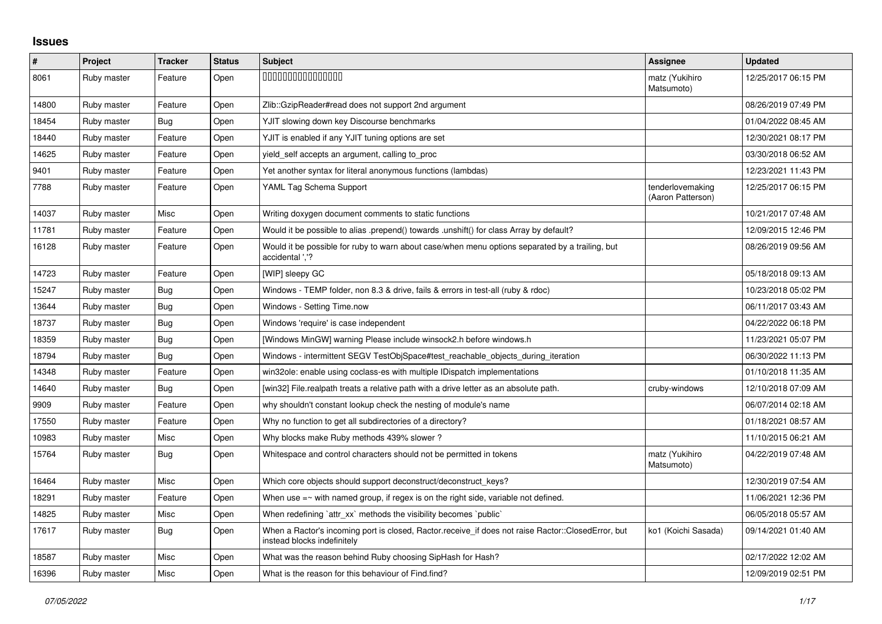## **Issues**

| $\pmb{\#}$ | Project     | <b>Tracker</b> | <b>Status</b> | <b>Subject</b>                                                                                                                    | Assignee                              | <b>Updated</b>      |
|------------|-------------|----------------|---------------|-----------------------------------------------------------------------------------------------------------------------------------|---------------------------------------|---------------------|
| 8061       | Ruby master | Feature        | Open          | 000000000000000                                                                                                                   | matz (Yukihiro<br>Matsumoto)          | 12/25/2017 06:15 PM |
| 14800      | Ruby master | Feature        | Open          | Zlib::GzipReader#read does not support 2nd argument                                                                               |                                       | 08/26/2019 07:49 PM |
| 18454      | Ruby master | Bug            | Open          | YJIT slowing down key Discourse benchmarks                                                                                        |                                       | 01/04/2022 08:45 AM |
| 18440      | Ruby master | Feature        | Open          | YJIT is enabled if any YJIT tuning options are set                                                                                |                                       | 12/30/2021 08:17 PM |
| 14625      | Ruby master | Feature        | Open          | yield_self accepts an argument, calling to_proc                                                                                   |                                       | 03/30/2018 06:52 AM |
| 9401       | Ruby master | Feature        | Open          | Yet another syntax for literal anonymous functions (lambdas)                                                                      |                                       | 12/23/2021 11:43 PM |
| 7788       | Ruby master | Feature        | Open          | YAML Tag Schema Support                                                                                                           | tenderlovemaking<br>(Aaron Patterson) | 12/25/2017 06:15 PM |
| 14037      | Ruby master | Misc           | Open          | Writing doxygen document comments to static functions                                                                             |                                       | 10/21/2017 07:48 AM |
| 11781      | Ruby master | Feature        | Open          | Would it be possible to alias .prepend() towards .unshift() for class Array by default?                                           |                                       | 12/09/2015 12:46 PM |
| 16128      | Ruby master | Feature        | Open          | Would it be possible for ruby to warn about case/when menu options separated by a trailing, but<br>accidental '.'?                |                                       | 08/26/2019 09:56 AM |
| 14723      | Ruby master | Feature        | Open          | [WIP] sleepy GC                                                                                                                   |                                       | 05/18/2018 09:13 AM |
| 15247      | Ruby master | <b>Bug</b>     | Open          | Windows - TEMP folder, non 8.3 & drive, fails & errors in test-all (ruby & rdoc)                                                  |                                       | 10/23/2018 05:02 PM |
| 13644      | Ruby master | Bug            | Open          | Windows - Setting Time.now                                                                                                        |                                       | 06/11/2017 03:43 AM |
| 18737      | Ruby master | Bug            | Open          | Windows 'require' is case independent                                                                                             |                                       | 04/22/2022 06:18 PM |
| 18359      | Ruby master | Bug            | Open          | [Windows MinGW] warning Please include winsock2.h before windows.h                                                                |                                       | 11/23/2021 05:07 PM |
| 18794      | Ruby master | <b>Bug</b>     | Open          | Windows - intermittent SEGV TestObjSpace#test reachable objects during iteration                                                  |                                       | 06/30/2022 11:13 PM |
| 14348      | Ruby master | Feature        | Open          | win32ole: enable using coclass-es with multiple IDispatch implementations                                                         |                                       | 01/10/2018 11:35 AM |
| 14640      | Ruby master | Bug            | Open          | [win32] File.realpath treats a relative path with a drive letter as an absolute path.                                             | cruby-windows                         | 12/10/2018 07:09 AM |
| 9909       | Ruby master | Feature        | Open          | why shouldn't constant lookup check the nesting of module's name                                                                  |                                       | 06/07/2014 02:18 AM |
| 17550      | Ruby master | Feature        | Open          | Why no function to get all subdirectories of a directory?                                                                         |                                       | 01/18/2021 08:57 AM |
| 10983      | Ruby master | Misc           | Open          | Why blocks make Ruby methods 439% slower?                                                                                         |                                       | 11/10/2015 06:21 AM |
| 15764      | Ruby master | Bug            | Open          | Whitespace and control characters should not be permitted in tokens                                                               | matz (Yukihiro<br>Matsumoto)          | 04/22/2019 07:48 AM |
| 16464      | Ruby master | <b>Misc</b>    | Open          | Which core objects should support deconstruct/deconstruct keys?                                                                   |                                       | 12/30/2019 07:54 AM |
| 18291      | Ruby master | Feature        | Open          | When use $=\sim$ with named group, if regex is on the right side, variable not defined.                                           |                                       | 11/06/2021 12:36 PM |
| 14825      | Ruby master | Misc           | Open          | When redefining 'attr_xx' methods the visibility becomes 'public'                                                                 |                                       | 06/05/2018 05:57 AM |
| 17617      | Ruby master | Bug            | Open          | When a Ractor's incoming port is closed, Ractor.receive_if does not raise Ractor::ClosedError, but<br>instead blocks indefinitely | ko1 (Koichi Sasada)                   | 09/14/2021 01:40 AM |
| 18587      | Ruby master | Misc           | Open          | What was the reason behind Ruby choosing SipHash for Hash?                                                                        |                                       | 02/17/2022 12:02 AM |
| 16396      | Ruby master | Misc           | Open          | What is the reason for this behaviour of Find.find?                                                                               |                                       | 12/09/2019 02:51 PM |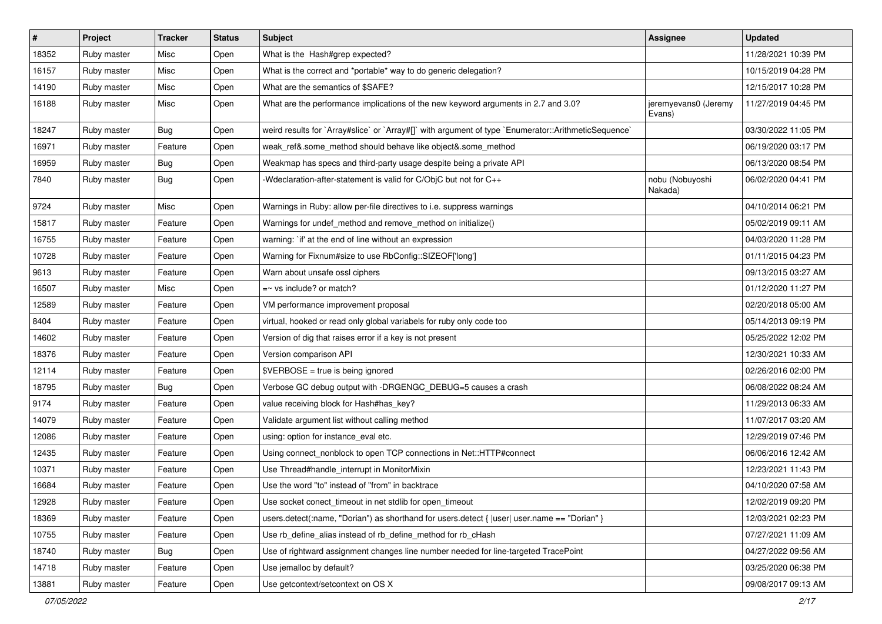| $\vert$ # | Project     | <b>Tracker</b> | <b>Status</b> | Subject                                                                                              | Assignee                       | <b>Updated</b>      |
|-----------|-------------|----------------|---------------|------------------------------------------------------------------------------------------------------|--------------------------------|---------------------|
| 18352     | Ruby master | Misc           | Open          | What is the Hash#grep expected?                                                                      |                                | 11/28/2021 10:39 PM |
| 16157     | Ruby master | Misc           | Open          | What is the correct and *portable* way to do generic delegation?                                     |                                | 10/15/2019 04:28 PM |
| 14190     | Ruby master | Misc           | Open          | What are the semantics of \$SAFE?                                                                    |                                | 12/15/2017 10:28 PM |
| 16188     | Ruby master | Misc           | Open          | What are the performance implications of the new keyword arguments in 2.7 and 3.0?                   | jeremyevans0 (Jeremy<br>Evans) | 11/27/2019 04:45 PM |
| 18247     | Ruby master | Bug            | Open          | weird results for `Array#slice` or `Array#[]` with argument of type `Enumerator::ArithmeticSequence` |                                | 03/30/2022 11:05 PM |
| 16971     | Ruby master | Feature        | Open          | weak_ref&.some_method should behave like object&.some_method                                         |                                | 06/19/2020 03:17 PM |
| 16959     | Ruby master | <b>Bug</b>     | Open          | Weakmap has specs and third-party usage despite being a private API                                  |                                | 06/13/2020 08:54 PM |
| 7840      | Ruby master | <b>Bug</b>     | Open          | -Wdeclaration-after-statement is valid for C/ObjC but not for C++                                    | nobu (Nobuyoshi<br>Nakada)     | 06/02/2020 04:41 PM |
| 9724      | Ruby master | Misc           | Open          | Warnings in Ruby: allow per-file directives to i.e. suppress warnings                                |                                | 04/10/2014 06:21 PM |
| 15817     | Ruby master | Feature        | Open          | Warnings for undef_method and remove_method on initialize()                                          |                                | 05/02/2019 09:11 AM |
| 16755     | Ruby master | Feature        | Open          | warning: `if' at the end of line without an expression                                               |                                | 04/03/2020 11:28 PM |
| 10728     | Ruby master | Feature        | Open          | Warning for Fixnum#size to use RbConfig::SIZEOF['long']                                              |                                | 01/11/2015 04:23 PM |
| 9613      | Ruby master | Feature        | Open          | Warn about unsafe ossl ciphers                                                                       |                                | 09/13/2015 03:27 AM |
| 16507     | Ruby master | Misc           | Open          | $=$ vs include? or match?                                                                            |                                | 01/12/2020 11:27 PM |
| 12589     | Ruby master | Feature        | Open          | VM performance improvement proposal                                                                  |                                | 02/20/2018 05:00 AM |
| 8404      | Ruby master | Feature        | Open          | virtual, hooked or read only global variabels for ruby only code too                                 |                                | 05/14/2013 09:19 PM |
| 14602     | Ruby master | Feature        | Open          | Version of dig that raises error if a key is not present                                             |                                | 05/25/2022 12:02 PM |
| 18376     | Ruby master | Feature        | Open          | Version comparison API                                                                               |                                | 12/30/2021 10:33 AM |
| 12114     | Ruby master | Feature        | Open          | $\texttt{SVERBOSE}$ = true is being ignored                                                          |                                | 02/26/2016 02:00 PM |
| 18795     | Ruby master | <b>Bug</b>     | Open          | Verbose GC debug output with -DRGENGC_DEBUG=5 causes a crash                                         |                                | 06/08/2022 08:24 AM |
| 9174      | Ruby master | Feature        | Open          | value receiving block for Hash#has_key?                                                              |                                | 11/29/2013 06:33 AM |
| 14079     | Ruby master | Feature        | Open          | Validate argument list without calling method                                                        |                                | 11/07/2017 03:20 AM |
| 12086     | Ruby master | Feature        | Open          | using: option for instance_eval etc.                                                                 |                                | 12/29/2019 07:46 PM |
| 12435     | Ruby master | Feature        | Open          | Using connect_nonblock to open TCP connections in Net::HTTP#connect                                  |                                | 06/06/2016 12:42 AM |
| 10371     | Ruby master | Feature        | Open          | Use Thread#handle_interrupt in MonitorMixin                                                          |                                | 12/23/2021 11:43 PM |
| 16684     | Ruby master | Feature        | Open          | Use the word "to" instead of "from" in backtrace                                                     |                                | 04/10/2020 07:58 AM |
| 12928     | Ruby master | Feature        | Open          | Use socket conect_timeout in net stdlib for open_timeout                                             |                                | 12/02/2019 09:20 PM |
| 18369     | Ruby master | Feature        | Open          | users.detect(:name, "Dorian") as shorthand for users.detect {  user  user.name == "Dorian" }         |                                | 12/03/2021 02:23 PM |
| 10755     | Ruby master | Feature        | Open          | Use rb_define_alias instead of rb_define_method for rb_cHash                                         |                                | 07/27/2021 11:09 AM |
| 18740     | Ruby master | Bug            | Open          | Use of rightward assignment changes line number needed for line-targeted TracePoint                  |                                | 04/27/2022 09:56 AM |
| 14718     | Ruby master | Feature        | Open          | Use jemalloc by default?                                                                             |                                | 03/25/2020 06:38 PM |
| 13881     | Ruby master | Feature        | Open          | Use getcontext/setcontext on OS X                                                                    |                                | 09/08/2017 09:13 AM |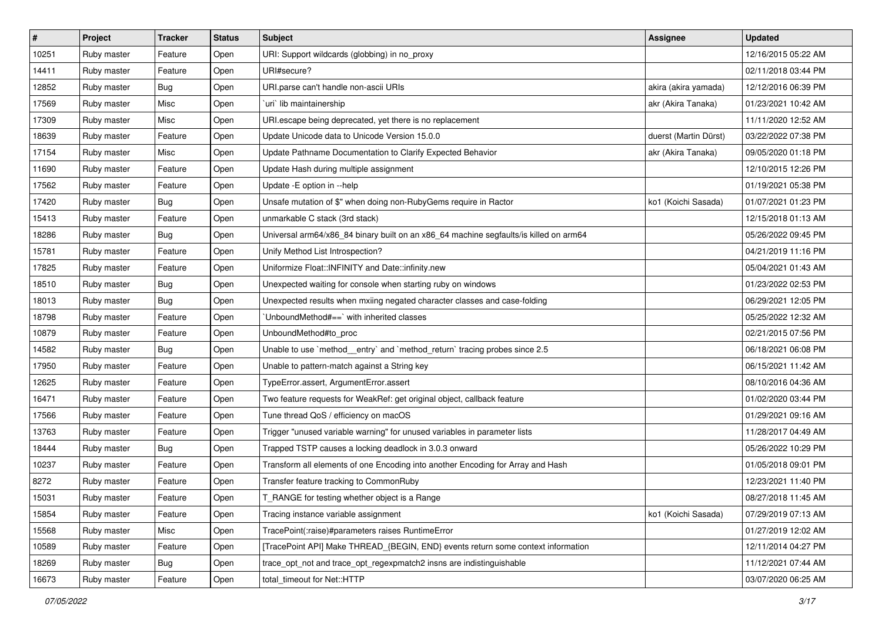| #     | Project     | <b>Tracker</b> | <b>Status</b> | <b>Subject</b>                                                                        | <b>Assignee</b>       | <b>Updated</b>      |
|-------|-------------|----------------|---------------|---------------------------------------------------------------------------------------|-----------------------|---------------------|
| 10251 | Ruby master | Feature        | Open          | URI: Support wildcards (globbing) in no_proxy                                         |                       | 12/16/2015 05:22 AM |
| 14411 | Ruby master | Feature        | Open          | URI#secure?                                                                           |                       | 02/11/2018 03:44 PM |
| 12852 | Ruby master | <b>Bug</b>     | Open          | URI parse can't handle non-ascii URIs                                                 | akira (akira yamada)  | 12/12/2016 06:39 PM |
| 17569 | Ruby master | Misc           | Open          | uri lib maintainership                                                                | akr (Akira Tanaka)    | 01/23/2021 10:42 AM |
| 17309 | Ruby master | Misc           | Open          | URI escape being deprecated, yet there is no replacement                              |                       | 11/11/2020 12:52 AM |
| 18639 | Ruby master | Feature        | Open          | Update Unicode data to Unicode Version 15.0.0                                         | duerst (Martin Dürst) | 03/22/2022 07:38 PM |
| 17154 | Ruby master | Misc           | Open          | Update Pathname Documentation to Clarify Expected Behavior                            | akr (Akira Tanaka)    | 09/05/2020 01:18 PM |
| 11690 | Ruby master | Feature        | Open          | Update Hash during multiple assignment                                                |                       | 12/10/2015 12:26 PM |
| 17562 | Ruby master | Feature        | Open          | Update -E option in --help                                                            |                       | 01/19/2021 05:38 PM |
| 17420 | Ruby master | Bug            | Open          | Unsafe mutation of \$" when doing non-RubyGems require in Ractor                      | ko1 (Koichi Sasada)   | 01/07/2021 01:23 PM |
| 15413 | Ruby master | Feature        | Open          | unmarkable C stack (3rd stack)                                                        |                       | 12/15/2018 01:13 AM |
| 18286 | Ruby master | Bug            | Open          | Universal arm64/x86_84 binary built on an x86_64 machine segfaults/is killed on arm64 |                       | 05/26/2022 09:45 PM |
| 15781 | Ruby master | Feature        | Open          | Unify Method List Introspection?                                                      |                       | 04/21/2019 11:16 PM |
| 17825 | Ruby master | Feature        | Open          | Uniformize Float::INFINITY and Date::infinity.new                                     |                       | 05/04/2021 01:43 AM |
| 18510 | Ruby master | <b>Bug</b>     | Open          | Unexpected waiting for console when starting ruby on windows                          |                       | 01/23/2022 02:53 PM |
| 18013 | Ruby master | Bug            | Open          | Unexpected results when mxiing negated character classes and case-folding             |                       | 06/29/2021 12:05 PM |
| 18798 | Ruby master | Feature        | Open          | UnboundMethod#==`with inherited classes                                               |                       | 05/25/2022 12:32 AM |
| 10879 | Ruby master | Feature        | Open          | UnboundMethod#to_proc                                                                 |                       | 02/21/2015 07:56 PM |
| 14582 | Ruby master | Bug            | Open          | Unable to use `method_entry` and `method_return` tracing probes since 2.5             |                       | 06/18/2021 06:08 PM |
| 17950 | Ruby master | Feature        | Open          | Unable to pattern-match against a String key                                          |                       | 06/15/2021 11:42 AM |
| 12625 | Ruby master | Feature        | Open          | TypeError.assert, ArgumentError.assert                                                |                       | 08/10/2016 04:36 AM |
| 16471 | Ruby master | Feature        | Open          | Two feature requests for WeakRef: get original object, callback feature               |                       | 01/02/2020 03:44 PM |
| 17566 | Ruby master | Feature        | Open          | Tune thread QoS / efficiency on macOS                                                 |                       | 01/29/2021 09:16 AM |
| 13763 | Ruby master | Feature        | Open          | Trigger "unused variable warning" for unused variables in parameter lists             |                       | 11/28/2017 04:49 AM |
| 18444 | Ruby master | Bug            | Open          | Trapped TSTP causes a locking deadlock in 3.0.3 onward                                |                       | 05/26/2022 10:29 PM |
| 10237 | Ruby master | Feature        | Open          | Transform all elements of one Encoding into another Encoding for Array and Hash       |                       | 01/05/2018 09:01 PM |
| 8272  | Ruby master | Feature        | Open          | Transfer feature tracking to CommonRuby                                               |                       | 12/23/2021 11:40 PM |
| 15031 | Ruby master | Feature        | Open          | T_RANGE for testing whether object is a Range                                         |                       | 08/27/2018 11:45 AM |
| 15854 | Ruby master | Feature        | Open          | Tracing instance variable assignment                                                  | ko1 (Koichi Sasada)   | 07/29/2019 07:13 AM |
| 15568 | Ruby master | Misc           | Open          | TracePoint(:raise)#parameters raises RuntimeError                                     |                       | 01/27/2019 12:02 AM |
| 10589 | Ruby master | Feature        | Open          | [TracePoint API] Make THREAD_{BEGIN, END} events return some context information      |                       | 12/11/2014 04:27 PM |
| 18269 | Ruby master | <b>Bug</b>     | Open          | trace opt not and trace opt regexpmatch2 insns are indistinguishable                  |                       | 11/12/2021 07:44 AM |
| 16673 | Ruby master | Feature        | Open          | total_timeout for Net::HTTP                                                           |                       | 03/07/2020 06:25 AM |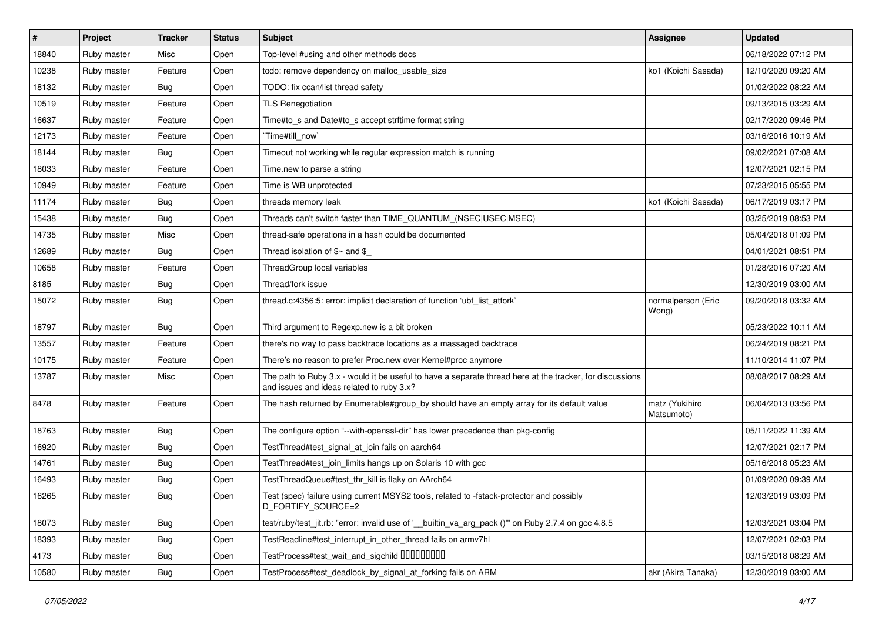| $\vert$ # | Project     | <b>Tracker</b> | <b>Status</b> | Subject                                                                                                                                               | Assignee                     | <b>Updated</b>      |
|-----------|-------------|----------------|---------------|-------------------------------------------------------------------------------------------------------------------------------------------------------|------------------------------|---------------------|
| 18840     | Ruby master | Misc           | Open          | Top-level #using and other methods docs                                                                                                               |                              | 06/18/2022 07:12 PM |
| 10238     | Ruby master | Feature        | Open          | todo: remove dependency on malloc_usable_size                                                                                                         | ko1 (Koichi Sasada)          | 12/10/2020 09:20 AM |
| 18132     | Ruby master | <b>Bug</b>     | Open          | TODO: fix ccan/list thread safety                                                                                                                     |                              | 01/02/2022 08:22 AM |
| 10519     | Ruby master | Feature        | Open          | <b>TLS Renegotiation</b>                                                                                                                              |                              | 09/13/2015 03:29 AM |
| 16637     | Ruby master | Feature        | Open          | Time#to_s and Date#to_s accept strftime format string                                                                                                 |                              | 02/17/2020 09:46 PM |
| 12173     | Ruby master | Feature        | Open          | Time#till_now`                                                                                                                                        |                              | 03/16/2016 10:19 AM |
| 18144     | Ruby master | <b>Bug</b>     | Open          | Timeout not working while regular expression match is running                                                                                         |                              | 09/02/2021 07:08 AM |
| 18033     | Ruby master | Feature        | Open          | Time.new to parse a string                                                                                                                            |                              | 12/07/2021 02:15 PM |
| 10949     | Ruby master | Feature        | Open          | Time is WB unprotected                                                                                                                                |                              | 07/23/2015 05:55 PM |
| 11174     | Ruby master | <b>Bug</b>     | Open          | threads memory leak                                                                                                                                   | ko1 (Koichi Sasada)          | 06/17/2019 03:17 PM |
| 15438     | Ruby master | <b>Bug</b>     | Open          | Threads can't switch faster than TIME_QUANTUM_(NSEC USEC MSEC)                                                                                        |                              | 03/25/2019 08:53 PM |
| 14735     | Ruby master | Misc           | Open          | thread-safe operations in a hash could be documented                                                                                                  |                              | 05/04/2018 01:09 PM |
| 12689     | Ruby master | <b>Bug</b>     | Open          | Thread isolation of $$~$ and \$                                                                                                                       |                              | 04/01/2021 08:51 PM |
| 10658     | Ruby master | Feature        | Open          | ThreadGroup local variables                                                                                                                           |                              | 01/28/2016 07:20 AM |
| 8185      | Ruby master | <b>Bug</b>     | Open          | Thread/fork issue                                                                                                                                     |                              | 12/30/2019 03:00 AM |
| 15072     | Ruby master | <b>Bug</b>     | Open          | thread.c:4356:5: error: implicit declaration of function 'ubf_list_atfork'                                                                            | normalperson (Eric<br>Wong)  | 09/20/2018 03:32 AM |
| 18797     | Ruby master | Bug            | Open          | Third argument to Regexp.new is a bit broken                                                                                                          |                              | 05/23/2022 10:11 AM |
| 13557     | Ruby master | Feature        | Open          | there's no way to pass backtrace locations as a massaged backtrace                                                                                    |                              | 06/24/2019 08:21 PM |
| 10175     | Ruby master | Feature        | Open          | There's no reason to prefer Proc.new over Kernel#proc anymore                                                                                         |                              | 11/10/2014 11:07 PM |
| 13787     | Ruby master | Misc           | Open          | The path to Ruby 3.x - would it be useful to have a separate thread here at the tracker, for discussions<br>and issues and ideas related to ruby 3.x? |                              | 08/08/2017 08:29 AM |
| 8478      | Ruby master | Feature        | Open          | The hash returned by Enumerable#group_by should have an empty array for its default value                                                             | matz (Yukihiro<br>Matsumoto) | 06/04/2013 03:56 PM |
| 18763     | Ruby master | Bug            | Open          | The configure option "--with-openssl-dir" has lower precedence than pkg-config                                                                        |                              | 05/11/2022 11:39 AM |
| 16920     | Ruby master | <b>Bug</b>     | Open          | TestThread#test_signal_at_join fails on aarch64                                                                                                       |                              | 12/07/2021 02:17 PM |
| 14761     | Ruby master | <b>Bug</b>     | Open          | TestThread#test_join_limits hangs up on Solaris 10 with gcc                                                                                           |                              | 05/16/2018 05:23 AM |
| 16493     | Ruby master | <b>Bug</b>     | Open          | TestThreadQueue#test_thr_kill is flaky on AArch64                                                                                                     |                              | 01/09/2020 09:39 AM |
| 16265     | Ruby master | Bug            | Open          | Test (spec) failure using current MSYS2 tools, related to -fstack-protector and possibly<br>D_FORTIFY_SOURCE=2                                        |                              | 12/03/2019 03:09 PM |
| 18073     | Ruby master | <b>Bug</b>     | Open          | test/ruby/test_jit.rb: "error: invalid use of '_builtin_va_arg_pack ()"" on Ruby 2.7.4 on gcc 4.8.5                                                   |                              | 12/03/2021 03:04 PM |
| 18393     | Ruby master | <b>Bug</b>     | Open          | TestReadline#test_interrupt_in_other_thread fails on armv7hl                                                                                          |                              | 12/07/2021 02:03 PM |
| 4173      | Ruby master | <b>Bug</b>     | Open          | TestProcess#test_wait_and_sigchild DDDDDDDD                                                                                                           |                              | 03/15/2018 08:29 AM |
| 10580     | Ruby master | <b>Bug</b>     | Open          | TestProcess#test_deadlock_by_signal_at_forking fails on ARM                                                                                           | akr (Akira Tanaka)           | 12/30/2019 03:00 AM |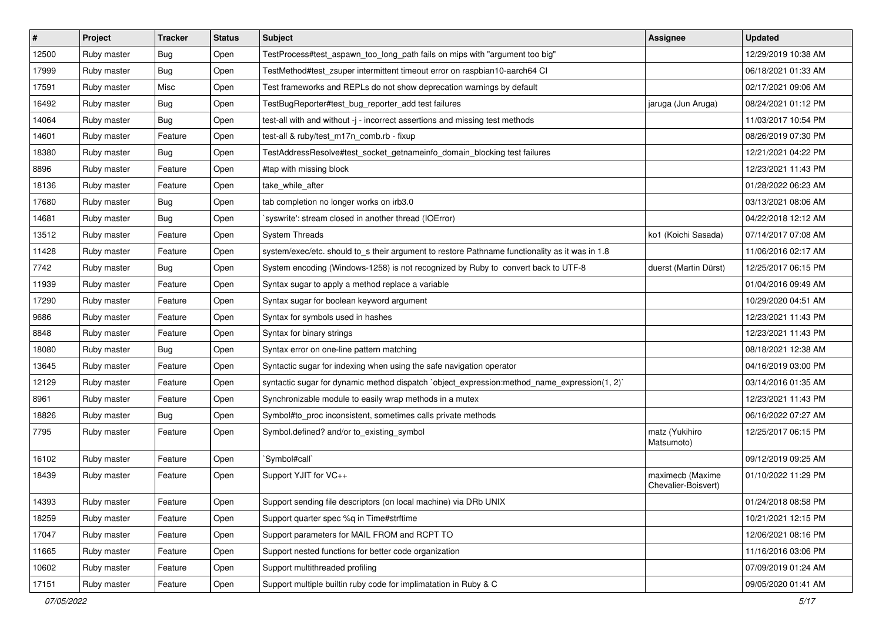| $\vert$ # | Project     | <b>Tracker</b> | <b>Status</b> | Subject                                                                                        | <b>Assignee</b>                         | <b>Updated</b>      |
|-----------|-------------|----------------|---------------|------------------------------------------------------------------------------------------------|-----------------------------------------|---------------------|
| 12500     | Ruby master | <b>Bug</b>     | Open          | TestProcess#test aspawn too long path fails on mips with "argument too big"                    |                                         | 12/29/2019 10:38 AM |
| 17999     | Ruby master | <b>Bug</b>     | Open          | TestMethod#test_zsuper intermittent timeout error on raspbian10-aarch64 Cl                     |                                         | 06/18/2021 01:33 AM |
| 17591     | Ruby master | Misc           | Open          | Test frameworks and REPLs do not show deprecation warnings by default                          |                                         | 02/17/2021 09:06 AM |
| 16492     | Ruby master | <b>Bug</b>     | Open          | TestBugReporter#test_bug_reporter_add test failures                                            | jaruga (Jun Aruga)                      | 08/24/2021 01:12 PM |
| 14064     | Ruby master | <b>Bug</b>     | Open          | test-all with and without -j - incorrect assertions and missing test methods                   |                                         | 11/03/2017 10:54 PM |
| 14601     | Ruby master | Feature        | Open          | test-all & ruby/test m17n comb.rb - fixup                                                      |                                         | 08/26/2019 07:30 PM |
| 18380     | Ruby master | <b>Bug</b>     | Open          | TestAddressResolve#test_socket_getnameinfo_domain_blocking test failures                       |                                         | 12/21/2021 04:22 PM |
| 8896      | Ruby master | Feature        | Open          | #tap with missing block                                                                        |                                         | 12/23/2021 11:43 PM |
| 18136     | Ruby master | Feature        | Open          | take_while_after                                                                               |                                         | 01/28/2022 06:23 AM |
| 17680     | Ruby master | <b>Bug</b>     | Open          | tab completion no longer works on irb3.0                                                       |                                         | 03/13/2021 08:06 AM |
| 14681     | Ruby master | <b>Bug</b>     | Open          | syswrite': stream closed in another thread (IOError)                                           |                                         | 04/22/2018 12:12 AM |
| 13512     | Ruby master | Feature        | Open          | <b>System Threads</b>                                                                          | ko1 (Koichi Sasada)                     | 07/14/2017 07:08 AM |
| 11428     | Ruby master | Feature        | Open          | system/exec/etc. should to s their argument to restore Pathname functionality as it was in 1.8 |                                         | 11/06/2016 02:17 AM |
| 7742      | Ruby master | <b>Bug</b>     | Open          | System encoding (Windows-1258) is not recognized by Ruby to convert back to UTF-8              | duerst (Martin Dürst)                   | 12/25/2017 06:15 PM |
| 11939     | Ruby master | Feature        | Open          | Syntax sugar to apply a method replace a variable                                              |                                         | 01/04/2016 09:49 AM |
| 17290     | Ruby master | Feature        | Open          | Syntax sugar for boolean keyword argument                                                      |                                         | 10/29/2020 04:51 AM |
| 9686      | Ruby master | Feature        | Open          | Syntax for symbols used in hashes                                                              |                                         | 12/23/2021 11:43 PM |
| 8848      | Ruby master | Feature        | Open          | Syntax for binary strings                                                                      |                                         | 12/23/2021 11:43 PM |
| 18080     | Ruby master | Bug            | Open          | Syntax error on one-line pattern matching                                                      |                                         | 08/18/2021 12:38 AM |
| 13645     | Ruby master | Feature        | Open          | Syntactic sugar for indexing when using the safe navigation operator                           |                                         | 04/16/2019 03:00 PM |
| 12129     | Ruby master | Feature        | Open          | syntactic sugar for dynamic method dispatch `object_expression:method_name_expression(1, 2)`   |                                         | 03/14/2016 01:35 AM |
| 8961      | Ruby master | Feature        | Open          | Synchronizable module to easily wrap methods in a mutex                                        |                                         | 12/23/2021 11:43 PM |
| 18826     | Ruby master | <b>Bug</b>     | Open          | Symbol#to_proc inconsistent, sometimes calls private methods                                   |                                         | 06/16/2022 07:27 AM |
| 7795      | Ruby master | Feature        | Open          | Symbol.defined? and/or to_existing_symbol                                                      | matz (Yukihiro<br>Matsumoto)            | 12/25/2017 06:15 PM |
| 16102     | Ruby master | Feature        | Open          | `Symbol#call`                                                                                  |                                         | 09/12/2019 09:25 AM |
| 18439     | Ruby master | Feature        | Open          | Support YJIT for VC++                                                                          | maximecb (Maxime<br>Chevalier-Boisvert) | 01/10/2022 11:29 PM |
| 14393     | Ruby master | Feature        | Open          | Support sending file descriptors (on local machine) via DRb UNIX                               |                                         | 01/24/2018 08:58 PM |
| 18259     | Ruby master | Feature        | Open          | Support quarter spec %q in Time#strftime                                                       |                                         | 10/21/2021 12:15 PM |
| 17047     | Ruby master | Feature        | Open          | Support parameters for MAIL FROM and RCPT TO                                                   |                                         | 12/06/2021 08:16 PM |
| 11665     | Ruby master | Feature        | Open          | Support nested functions for better code organization                                          |                                         | 11/16/2016 03:06 PM |
| 10602     | Ruby master | Feature        | Open          | Support multithreaded profiling                                                                |                                         | 07/09/2019 01:24 AM |
| 17151     | Ruby master | Feature        | Open          | Support multiple builtin ruby code for implimatation in Ruby & C                               |                                         | 09/05/2020 01:41 AM |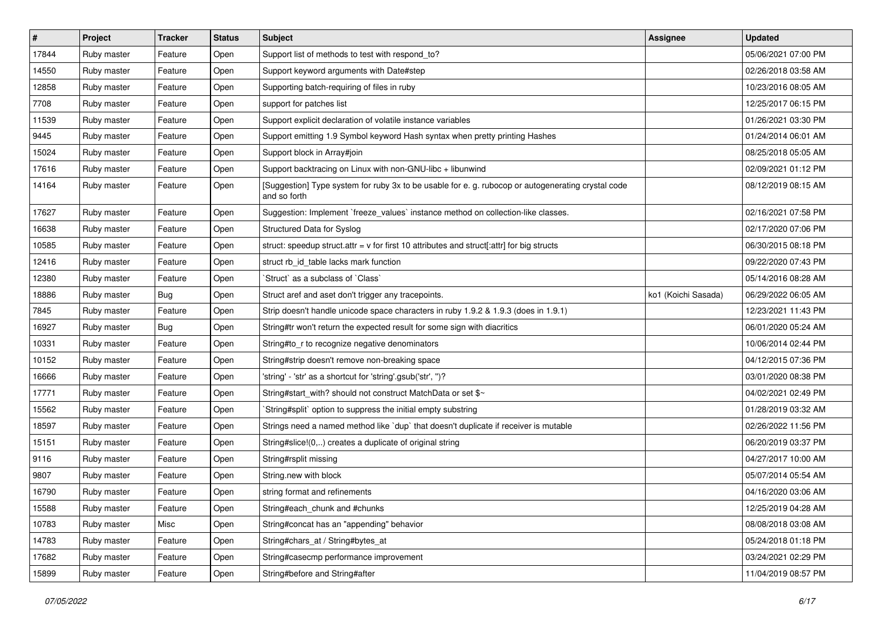| $\vert$ # | Project     | <b>Tracker</b> | <b>Status</b> | <b>Subject</b>                                                                                                     | Assignee            | <b>Updated</b>      |
|-----------|-------------|----------------|---------------|--------------------------------------------------------------------------------------------------------------------|---------------------|---------------------|
| 17844     | Ruby master | Feature        | Open          | Support list of methods to test with respond_to?                                                                   |                     | 05/06/2021 07:00 PM |
| 14550     | Ruby master | Feature        | Open          | Support keyword arguments with Date#step                                                                           |                     | 02/26/2018 03:58 AM |
| 12858     | Ruby master | Feature        | Open          | Supporting batch-requiring of files in ruby                                                                        |                     | 10/23/2016 08:05 AM |
| 7708      | Ruby master | Feature        | Open          | support for patches list                                                                                           |                     | 12/25/2017 06:15 PM |
| 11539     | Ruby master | Feature        | Open          | Support explicit declaration of volatile instance variables                                                        |                     | 01/26/2021 03:30 PM |
| 9445      | Ruby master | Feature        | Open          | Support emitting 1.9 Symbol keyword Hash syntax when pretty printing Hashes                                        |                     | 01/24/2014 06:01 AM |
| 15024     | Ruby master | Feature        | Open          | Support block in Array#join                                                                                        |                     | 08/25/2018 05:05 AM |
| 17616     | Ruby master | Feature        | Open          | Support backtracing on Linux with non-GNU-libc + libunwind                                                         |                     | 02/09/2021 01:12 PM |
| 14164     | Ruby master | Feature        | Open          | [Suggestion] Type system for ruby 3x to be usable for e. g. rubocop or autogenerating crystal code<br>and so forth |                     | 08/12/2019 08:15 AM |
| 17627     | Ruby master | Feature        | Open          | Suggestion: Implement `freeze_values` instance method on collection-like classes.                                  |                     | 02/16/2021 07:58 PM |
| 16638     | Ruby master | Feature        | Open          | Structured Data for Syslog                                                                                         |                     | 02/17/2020 07:06 PM |
| 10585     | Ruby master | Feature        | Open          | struct: speedup struct.attr = v for first 10 attributes and struct[:attr] for big structs                          |                     | 06/30/2015 08:18 PM |
| 12416     | Ruby master | Feature        | Open          | struct rb_id_table lacks mark function                                                                             |                     | 09/22/2020 07:43 PM |
| 12380     | Ruby master | Feature        | Open          | Struct` as a subclass of `Class`                                                                                   |                     | 05/14/2016 08:28 AM |
| 18886     | Ruby master | Bug            | Open          | Struct aref and aset don't trigger any tracepoints.                                                                | ko1 (Koichi Sasada) | 06/29/2022 06:05 AM |
| 7845      | Ruby master | Feature        | Open          | Strip doesn't handle unicode space characters in ruby 1.9.2 & 1.9.3 (does in 1.9.1)                                |                     | 12/23/2021 11:43 PM |
| 16927     | Ruby master | Bug            | Open          | String#tr won't return the expected result for some sign with diacritics                                           |                     | 06/01/2020 05:24 AM |
| 10331     | Ruby master | Feature        | Open          | String#to_r to recognize negative denominators                                                                     |                     | 10/06/2014 02:44 PM |
| 10152     | Ruby master | Feature        | Open          | String#strip doesn't remove non-breaking space                                                                     |                     | 04/12/2015 07:36 PM |
| 16666     | Ruby master | Feature        | Open          | 'string' - 'str' as a shortcut for 'string'.gsub('str', ")?                                                        |                     | 03/01/2020 08:38 PM |
| 17771     | Ruby master | Feature        | Open          | String#start_with? should not construct MatchData or set \$~                                                       |                     | 04/02/2021 02:49 PM |
| 15562     | Ruby master | Feature        | Open          | String#split` option to suppress the initial empty substring                                                       |                     | 01/28/2019 03:32 AM |
| 18597     | Ruby master | Feature        | Open          | Strings need a named method like 'dup' that doesn't duplicate if receiver is mutable                               |                     | 02/26/2022 11:56 PM |
| 15151     | Ruby master | Feature        | Open          | String#slice!(0,) creates a duplicate of original string                                                           |                     | 06/20/2019 03:37 PM |
| 9116      | Ruby master | Feature        | Open          | String#rsplit missing                                                                                              |                     | 04/27/2017 10:00 AM |
| 9807      | Ruby master | Feature        | Open          | String.new with block                                                                                              |                     | 05/07/2014 05:54 AM |
| 16790     | Ruby master | Feature        | Open          | string format and refinements                                                                                      |                     | 04/16/2020 03:06 AM |
| 15588     | Ruby master | Feature        | Open          | String#each_chunk and #chunks                                                                                      |                     | 12/25/2019 04:28 AM |
| 10783     | Ruby master | Misc           | Open          | String#concat has an "appending" behavior                                                                          |                     | 08/08/2018 03:08 AM |
| 14783     | Ruby master | Feature        | Open          | String#chars_at / String#bytes_at                                                                                  |                     | 05/24/2018 01:18 PM |
| 17682     | Ruby master | Feature        | Open          | String#casecmp performance improvement                                                                             |                     | 03/24/2021 02:29 PM |
| 15899     | Ruby master | Feature        | Open          | String#before and String#after                                                                                     |                     | 11/04/2019 08:57 PM |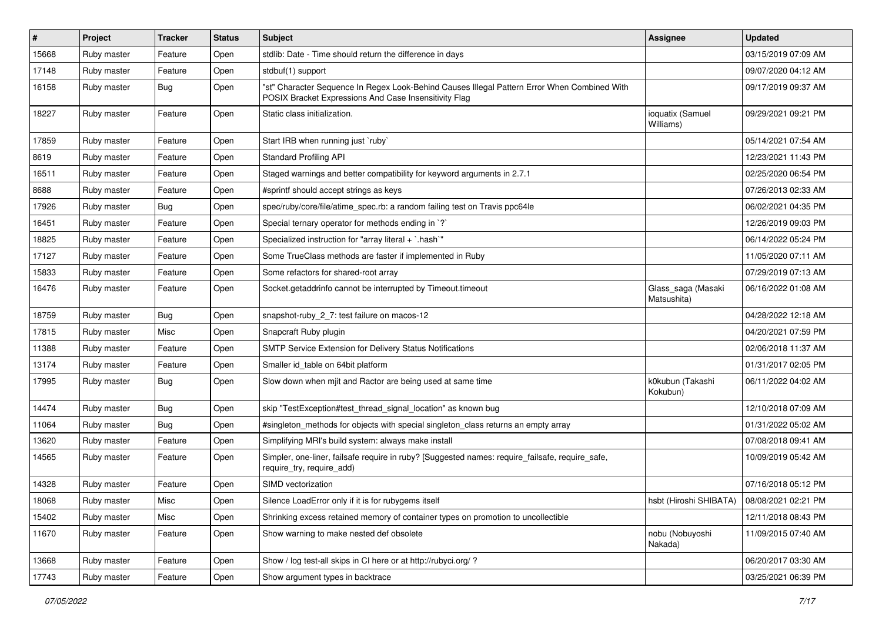| #     | Project     | <b>Tracker</b> | <b>Status</b> | <b>Subject</b>                                                                                                                                        | Assignee                          | <b>Updated</b>      |
|-------|-------------|----------------|---------------|-------------------------------------------------------------------------------------------------------------------------------------------------------|-----------------------------------|---------------------|
| 15668 | Ruby master | Feature        | Open          | stdlib: Date - Time should return the difference in days                                                                                              |                                   | 03/15/2019 07:09 AM |
| 17148 | Ruby master | Feature        | Open          | stdbuf(1) support                                                                                                                                     |                                   | 09/07/2020 04:12 AM |
| 16158 | Ruby master | <b>Bug</b>     | Open          | "st" Character Sequence In Regex Look-Behind Causes Illegal Pattern Error When Combined With<br>POSIX Bracket Expressions And Case Insensitivity Flag |                                   | 09/17/2019 09:37 AM |
| 18227 | Ruby master | Feature        | Open          | Static class initialization.                                                                                                                          | ioquatix (Samuel<br>Williams)     | 09/29/2021 09:21 PM |
| 17859 | Ruby master | Feature        | Open          | Start IRB when running just `ruby`                                                                                                                    |                                   | 05/14/2021 07:54 AM |
| 8619  | Ruby master | Feature        | Open          | <b>Standard Profiling API</b>                                                                                                                         |                                   | 12/23/2021 11:43 PM |
| 16511 | Ruby master | Feature        | Open          | Staged warnings and better compatibility for keyword arguments in 2.7.1                                                                               |                                   | 02/25/2020 06:54 PM |
| 8688  | Ruby master | Feature        | Open          | #sprintf should accept strings as keys                                                                                                                |                                   | 07/26/2013 02:33 AM |
| 17926 | Ruby master | <b>Bug</b>     | Open          | spec/ruby/core/file/atime_spec.rb: a random failing test on Travis ppc64le                                                                            |                                   | 06/02/2021 04:35 PM |
| 16451 | Ruby master | Feature        | Open          | Special ternary operator for methods ending in `?`                                                                                                    |                                   | 12/26/2019 09:03 PM |
| 18825 | Ruby master | Feature        | Open          | Specialized instruction for "array literal + `.hash`"                                                                                                 |                                   | 06/14/2022 05:24 PM |
| 17127 | Ruby master | Feature        | Open          | Some TrueClass methods are faster if implemented in Ruby                                                                                              |                                   | 11/05/2020 07:11 AM |
| 15833 | Ruby master | Feature        | Open          | Some refactors for shared-root array                                                                                                                  |                                   | 07/29/2019 07:13 AM |
| 16476 | Ruby master | Feature        | Open          | Socket.getaddrinfo cannot be interrupted by Timeout.timeout                                                                                           | Glass_saga (Masaki<br>Matsushita) | 06/16/2022 01:08 AM |
| 18759 | Ruby master | Bug            | Open          | snapshot-ruby_2_7: test failure on macos-12                                                                                                           |                                   | 04/28/2022 12:18 AM |
| 17815 | Ruby master | Misc           | Open          | Snapcraft Ruby plugin                                                                                                                                 |                                   | 04/20/2021 07:59 PM |
| 11388 | Ruby master | Feature        | Open          | SMTP Service Extension for Delivery Status Notifications                                                                                              |                                   | 02/06/2018 11:37 AM |
| 13174 | Ruby master | Feature        | Open          | Smaller id_table on 64bit platform                                                                                                                    |                                   | 01/31/2017 02:05 PM |
| 17995 | Ruby master | <b>Bug</b>     | Open          | Slow down when mjit and Ractor are being used at same time                                                                                            | k0kubun (Takashi<br>Kokubun)      | 06/11/2022 04:02 AM |
| 14474 | Ruby master | <b>Bug</b>     | Open          | skip "TestException#test_thread_signal_location" as known bug                                                                                         |                                   | 12/10/2018 07:09 AM |
| 11064 | Ruby master | <b>Bug</b>     | Open          | #singleton_methods for objects with special singleton_class returns an empty array                                                                    |                                   | 01/31/2022 05:02 AM |
| 13620 | Ruby master | Feature        | Open          | Simplifying MRI's build system: always make install                                                                                                   |                                   | 07/08/2018 09:41 AM |
| 14565 | Ruby master | Feature        | Open          | Simpler, one-liner, failsafe require in ruby? [Suggested names: require_failsafe, require_safe,<br>require_try, require_add)                          |                                   | 10/09/2019 05:42 AM |
| 14328 | Ruby master | Feature        | Open          | SIMD vectorization                                                                                                                                    |                                   | 07/16/2018 05:12 PM |
| 18068 | Ruby master | Misc           | Open          | Silence LoadError only if it is for rubygems itself                                                                                                   | hsbt (Hiroshi SHIBATA)            | 08/08/2021 02:21 PM |
| 15402 | Ruby master | Misc           | Open          | Shrinking excess retained memory of container types on promotion to uncollectible                                                                     |                                   | 12/11/2018 08:43 PM |
| 11670 | Ruby master | Feature        | Open          | Show warning to make nested def obsolete                                                                                                              | nobu (Nobuyoshi<br>Nakada)        | 11/09/2015 07:40 AM |
| 13668 | Ruby master | Feature        | Open          | Show / log test-all skips in CI here or at http://rubyci.org/ ?                                                                                       |                                   | 06/20/2017 03:30 AM |
| 17743 | Ruby master | Feature        | Open          | Show argument types in backtrace                                                                                                                      |                                   | 03/25/2021 06:39 PM |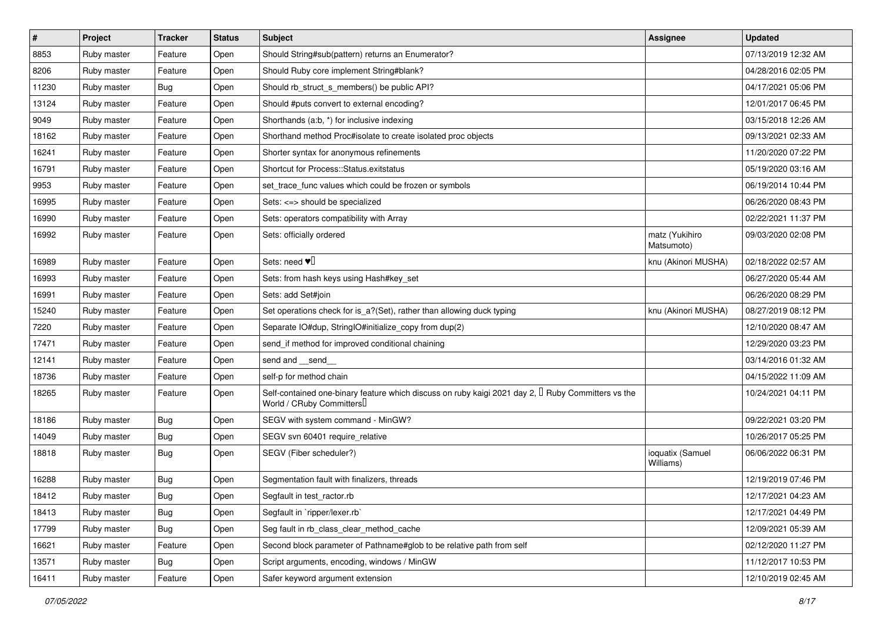| $\sharp$ | Project     | <b>Tracker</b> | <b>Status</b> | <b>Subject</b>                                                                                                                      | Assignee                      | <b>Updated</b>      |
|----------|-------------|----------------|---------------|-------------------------------------------------------------------------------------------------------------------------------------|-------------------------------|---------------------|
| 8853     | Ruby master | Feature        | Open          | Should String#sub(pattern) returns an Enumerator?                                                                                   |                               | 07/13/2019 12:32 AM |
| 8206     | Ruby master | Feature        | Open          | Should Ruby core implement String#blank?                                                                                            |                               | 04/28/2016 02:05 PM |
| 11230    | Ruby master | Bug            | Open          | Should rb struct s members() be public API?                                                                                         |                               | 04/17/2021 05:06 PM |
| 13124    | Ruby master | Feature        | Open          | Should #puts convert to external encoding?                                                                                          |                               | 12/01/2017 06:45 PM |
| 9049     | Ruby master | Feature        | Open          | Shorthands (a:b, *) for inclusive indexing                                                                                          |                               | 03/15/2018 12:26 AM |
| 18162    | Ruby master | Feature        | Open          | Shorthand method Proc#isolate to create isolated proc objects                                                                       |                               | 09/13/2021 02:33 AM |
| 16241    | Ruby master | Feature        | Open          | Shorter syntax for anonymous refinements                                                                                            |                               | 11/20/2020 07:22 PM |
| 16791    | Ruby master | Feature        | Open          | Shortcut for Process::Status.exitstatus                                                                                             |                               | 05/19/2020 03:16 AM |
| 9953     | Ruby master | Feature        | Open          | set_trace_func values which could be frozen or symbols                                                                              |                               | 06/19/2014 10:44 PM |
| 16995    | Ruby master | Feature        | Open          | Sets: <=> should be specialized                                                                                                     |                               | 06/26/2020 08:43 PM |
| 16990    | Ruby master | Feature        | Open          | Sets: operators compatibility with Array                                                                                            |                               | 02/22/2021 11:37 PM |
| 16992    | Ruby master | Feature        | Open          | Sets: officially ordered                                                                                                            | matz (Yukihiro<br>Matsumoto)  | 09/03/2020 02:08 PM |
| 16989    | Ruby master | Feature        | Open          | Sets: need $\Psi$                                                                                                                   | knu (Akinori MUSHA)           | 02/18/2022 02:57 AM |
| 16993    | Ruby master | Feature        | Open          | Sets: from hash keys using Hash#key_set                                                                                             |                               | 06/27/2020 05:44 AM |
| 16991    | Ruby master | Feature        | Open          | Sets: add Set#join                                                                                                                  |                               | 06/26/2020 08:29 PM |
| 15240    | Ruby master | Feature        | Open          | Set operations check for is_a?(Set), rather than allowing duck typing                                                               | knu (Akinori MUSHA)           | 08/27/2019 08:12 PM |
| 7220     | Ruby master | Feature        | Open          | Separate IO#dup, StringIO#initialize_copy from dup(2)                                                                               |                               | 12/10/2020 08:47 AM |
| 17471    | Ruby master | Feature        | Open          | send if method for improved conditional chaining                                                                                    |                               | 12/29/2020 03:23 PM |
| 12141    | Ruby master | Feature        | Open          | send and __send_                                                                                                                    |                               | 03/14/2016 01:32 AM |
| 18736    | Ruby master | Feature        | Open          | self-p for method chain                                                                                                             |                               | 04/15/2022 11:09 AM |
| 18265    | Ruby master | Feature        | Open          | Self-contained one-binary feature which discuss on ruby kaigi 2021 day 2, $\Box$ Ruby Committers vs the<br>World / CRuby Committers |                               | 10/24/2021 04:11 PM |
| 18186    | Ruby master | Bug            | Open          | SEGV with system command - MinGW?                                                                                                   |                               | 09/22/2021 03:20 PM |
| 14049    | Ruby master | Bug            | Open          | SEGV svn 60401 require_relative                                                                                                     |                               | 10/26/2017 05:25 PM |
| 18818    | Ruby master | <b>Bug</b>     | Open          | SEGV (Fiber scheduler?)                                                                                                             | ioquatix (Samuel<br>Williams) | 06/06/2022 06:31 PM |
| 16288    | Ruby master | Bug            | Open          | Segmentation fault with finalizers, threads                                                                                         |                               | 12/19/2019 07:46 PM |
| 18412    | Ruby master | Bug            | Open          | Segfault in test_ractor.rb                                                                                                          |                               | 12/17/2021 04:23 AM |
| 18413    | Ruby master | Bug            | Open          | Segfault in `ripper/lexer.rb`                                                                                                       |                               | 12/17/2021 04:49 PM |
| 17799    | Ruby master | <b>Bug</b>     | Open          | Seg fault in rb class clear method cache                                                                                            |                               | 12/09/2021 05:39 AM |
| 16621    | Ruby master | Feature        | Open          | Second block parameter of Pathname#glob to be relative path from self                                                               |                               | 02/12/2020 11:27 PM |
| 13571    | Ruby master | Bug            | Open          | Script arguments, encoding, windows / MinGW                                                                                         |                               | 11/12/2017 10:53 PM |
| 16411    | Ruby master | Feature        | Open          | Safer keyword argument extension                                                                                                    |                               | 12/10/2019 02:45 AM |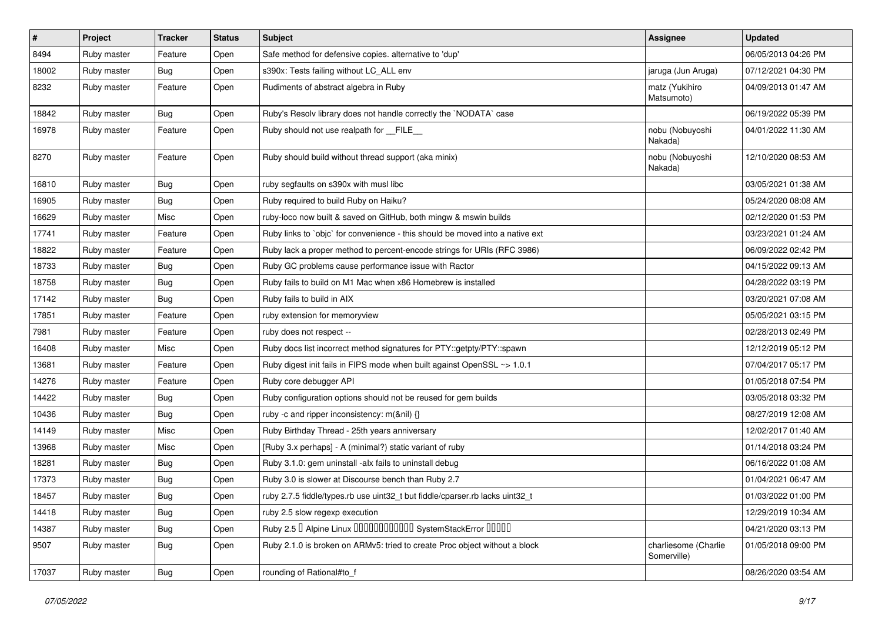| $\pmb{\#}$ | Project     | <b>Tracker</b> | <b>Status</b> | <b>Subject</b>                                                                | Assignee                            | <b>Updated</b>      |
|------------|-------------|----------------|---------------|-------------------------------------------------------------------------------|-------------------------------------|---------------------|
| 8494       | Ruby master | Feature        | Open          | Safe method for defensive copies. alternative to 'dup'                        |                                     | 06/05/2013 04:26 PM |
| 18002      | Ruby master | <b>Bug</b>     | Open          | s390x: Tests failing without LC_ALL env                                       | jaruga (Jun Aruga)                  | 07/12/2021 04:30 PM |
| 8232       | Ruby master | Feature        | Open          | Rudiments of abstract algebra in Ruby                                         | matz (Yukihiro<br>Matsumoto)        | 04/09/2013 01:47 AM |
| 18842      | Ruby master | <b>Bug</b>     | Open          | Ruby's Resolv library does not handle correctly the `NODATA` case             |                                     | 06/19/2022 05:39 PM |
| 16978      | Ruby master | Feature        | Open          | Ruby should not use realpath for _FILE_                                       | nobu (Nobuyoshi<br>Nakada)          | 04/01/2022 11:30 AM |
| 8270       | Ruby master | Feature        | Open          | Ruby should build without thread support (aka minix)                          | nobu (Nobuyoshi<br>Nakada)          | 12/10/2020 08:53 AM |
| 16810      | Ruby master | <b>Bug</b>     | Open          | ruby segfaults on s390x with musl libc                                        |                                     | 03/05/2021 01:38 AM |
| 16905      | Ruby master | <b>Bug</b>     | Open          | Ruby required to build Ruby on Haiku?                                         |                                     | 05/24/2020 08:08 AM |
| 16629      | Ruby master | Misc           | Open          | ruby-loco now built & saved on GitHub, both mingw & mswin builds              |                                     | 02/12/2020 01:53 PM |
| 17741      | Ruby master | Feature        | Open          | Ruby links to `objc` for convenience - this should be moved into a native ext |                                     | 03/23/2021 01:24 AM |
| 18822      | Ruby master | Feature        | Open          | Ruby lack a proper method to percent-encode strings for URIs (RFC 3986)       |                                     | 06/09/2022 02:42 PM |
| 18733      | Ruby master | <b>Bug</b>     | Open          | Ruby GC problems cause performance issue with Ractor                          |                                     | 04/15/2022 09:13 AM |
| 18758      | Ruby master | Bug            | Open          | Ruby fails to build on M1 Mac when x86 Homebrew is installed                  |                                     | 04/28/2022 03:19 PM |
| 17142      | Ruby master | <b>Bug</b>     | Open          | Ruby fails to build in AIX                                                    |                                     | 03/20/2021 07:08 AM |
| 17851      | Ruby master | Feature        | Open          | ruby extension for memoryview                                                 |                                     | 05/05/2021 03:15 PM |
| 7981       | Ruby master | Feature        | Open          | ruby does not respect --                                                      |                                     | 02/28/2013 02:49 PM |
| 16408      | Ruby master | Misc           | Open          | Ruby docs list incorrect method signatures for PTY::getpty/PTY::spawn         |                                     | 12/12/2019 05:12 PM |
| 13681      | Ruby master | Feature        | Open          | Ruby digest init fails in FIPS mode when built against OpenSSL ~> 1.0.1       |                                     | 07/04/2017 05:17 PM |
| 14276      | Ruby master | Feature        | Open          | Ruby core debugger API                                                        |                                     | 01/05/2018 07:54 PM |
| 14422      | Ruby master | <b>Bug</b>     | Open          | Ruby configuration options should not be reused for gem builds                |                                     | 03/05/2018 03:32 PM |
| 10436      | Ruby master | <b>Bug</b>     | Open          | ruby -c and ripper inconsistency: m(&nil) {}                                  |                                     | 08/27/2019 12:08 AM |
| 14149      | Ruby master | Misc           | Open          | Ruby Birthday Thread - 25th years anniversary                                 |                                     | 12/02/2017 01:40 AM |
| 13968      | Ruby master | Misc           | Open          | [Ruby 3.x perhaps] - A (minimal?) static variant of ruby                      |                                     | 01/14/2018 03:24 PM |
| 18281      | Ruby master | <b>Bug</b>     | Open          | Ruby 3.1.0: gem uninstall -alx fails to uninstall debug                       |                                     | 06/16/2022 01:08 AM |
| 17373      | Ruby master | Bug            | Open          | Ruby 3.0 is slower at Discourse bench than Ruby 2.7                           |                                     | 01/04/2021 06:47 AM |
| 18457      | Ruby master | Bug            | Open          | ruby 2.7.5 fiddle/types.rb use uint32_t but fiddle/cparser.rb lacks uint32_t  |                                     | 01/03/2022 01:00 PM |
| 14418      | Ruby master | <b>Bug</b>     | Open          | ruby 2.5 slow regexp execution                                                |                                     | 12/29/2019 10:34 AM |
| 14387      | Ruby master | <b>Bug</b>     | Open          | Ruby 2.5 <sup>D</sup> Alpine Linux 0000000000000 SystemStackError 00000       |                                     | 04/21/2020 03:13 PM |
| 9507       | Ruby master | <b>Bug</b>     | Open          | Ruby 2.1.0 is broken on ARMv5: tried to create Proc object without a block    | charliesome (Charlie<br>Somerville) | 01/05/2018 09:00 PM |
| 17037      | Ruby master | Bug            | Open          | rounding of Rational#to_f                                                     |                                     | 08/26/2020 03:54 AM |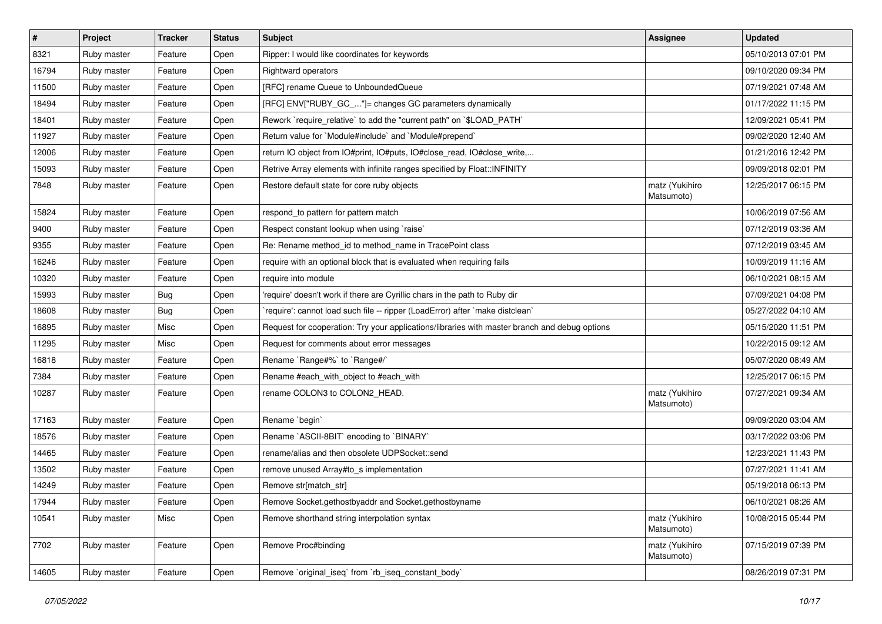| $\vert$ # | Project     | <b>Tracker</b> | <b>Status</b> | Subject                                                                                       | <b>Assignee</b>              | <b>Updated</b>      |
|-----------|-------------|----------------|---------------|-----------------------------------------------------------------------------------------------|------------------------------|---------------------|
| 8321      | Ruby master | Feature        | Open          | Ripper: I would like coordinates for keywords                                                 |                              | 05/10/2013 07:01 PM |
| 16794     | Ruby master | Feature        | Open          | <b>Rightward operators</b>                                                                    |                              | 09/10/2020 09:34 PM |
| 11500     | Ruby master | Feature        | Open          | [RFC] rename Queue to UnboundedQueue                                                          |                              | 07/19/2021 07:48 AM |
| 18494     | Ruby master | Feature        | Open          | [RFC] ENV["RUBY_GC_"]= changes GC parameters dynamically                                      |                              | 01/17/2022 11:15 PM |
| 18401     | Ruby master | Feature        | Open          | Rework `require_relative` to add the "current path" on `\$LOAD_PATH`                          |                              | 12/09/2021 05:41 PM |
| 11927     | Ruby master | Feature        | Open          | Return value for `Module#include` and `Module#prepend`                                        |                              | 09/02/2020 12:40 AM |
| 12006     | Ruby master | Feature        | Open          | return IO object from IO#print, IO#puts, IO#close_read, IO#close_write,                       |                              | 01/21/2016 12:42 PM |
| 15093     | Ruby master | Feature        | Open          | Retrive Array elements with infinite ranges specified by Float:: INFINITY                     |                              | 09/09/2018 02:01 PM |
| 7848      | Ruby master | Feature        | Open          | Restore default state for core ruby objects                                                   | matz (Yukihiro<br>Matsumoto) | 12/25/2017 06:15 PM |
| 15824     | Ruby master | Feature        | Open          | respond_to pattern for pattern match                                                          |                              | 10/06/2019 07:56 AM |
| 9400      | Ruby master | Feature        | Open          | Respect constant lookup when using 'raise'                                                    |                              | 07/12/2019 03:36 AM |
| 9355      | Ruby master | Feature        | Open          | Re: Rename method_id to method_name in TracePoint class                                       |                              | 07/12/2019 03:45 AM |
| 16246     | Ruby master | Feature        | Open          | require with an optional block that is evaluated when requiring fails                         |                              | 10/09/2019 11:16 AM |
| 10320     | Ruby master | Feature        | Open          | require into module                                                                           |                              | 06/10/2021 08:15 AM |
| 15993     | Ruby master | <b>Bug</b>     | Open          | 'require' doesn't work if there are Cyrillic chars in the path to Ruby dir                    |                              | 07/09/2021 04:08 PM |
| 18608     | Ruby master | <b>Bug</b>     | Open          | 'require': cannot load such file -- ripper (LoadError) after 'make distclean'                 |                              | 05/27/2022 04:10 AM |
| 16895     | Ruby master | Misc           | Open          | Request for cooperation: Try your applications/libraries with master branch and debug options |                              | 05/15/2020 11:51 PM |
| 11295     | Ruby master | Misc           | Open          | Request for comments about error messages                                                     |                              | 10/22/2015 09:12 AM |
| 16818     | Ruby master | Feature        | Open          | Rename `Range#%` to `Range#/`                                                                 |                              | 05/07/2020 08:49 AM |
| 7384      | Ruby master | Feature        | Open          | Rename #each_with_object to #each_with                                                        |                              | 12/25/2017 06:15 PM |
| 10287     | Ruby master | Feature        | Open          | rename COLON3 to COLON2_HEAD.                                                                 | matz (Yukihiro<br>Matsumoto) | 07/27/2021 09:34 AM |
| 17163     | Ruby master | Feature        | Open          | Rename `begin`                                                                                |                              | 09/09/2020 03:04 AM |
| 18576     | Ruby master | Feature        | Open          | Rename `ASCII-8BIT` encoding to `BINARY`                                                      |                              | 03/17/2022 03:06 PM |
| 14465     | Ruby master | Feature        | Open          | rename/alias and then obsolete UDPSocket::send                                                |                              | 12/23/2021 11:43 PM |
| 13502     | Ruby master | Feature        | Open          | remove unused Array#to_s implementation                                                       |                              | 07/27/2021 11:41 AM |
| 14249     | Ruby master | Feature        | Open          | Remove str[match_str]                                                                         |                              | 05/19/2018 06:13 PM |
| 17944     | Ruby master | Feature        | Open          | Remove Socket.gethostbyaddr and Socket.gethostbyname                                          |                              | 06/10/2021 08:26 AM |
| 10541     | Ruby master | Misc           | Open          | Remove shorthand string interpolation syntax                                                  | matz (Yukihiro<br>Matsumoto) | 10/08/2015 05:44 PM |
| 7702      | Ruby master | Feature        | Open          | Remove Proc#binding                                                                           | matz (Yukihiro<br>Matsumoto) | 07/15/2019 07:39 PM |
| 14605     | Ruby master | Feature        | Open          | Remove `original_iseq` from `rb_iseq_constant_body`                                           |                              | 08/26/2019 07:31 PM |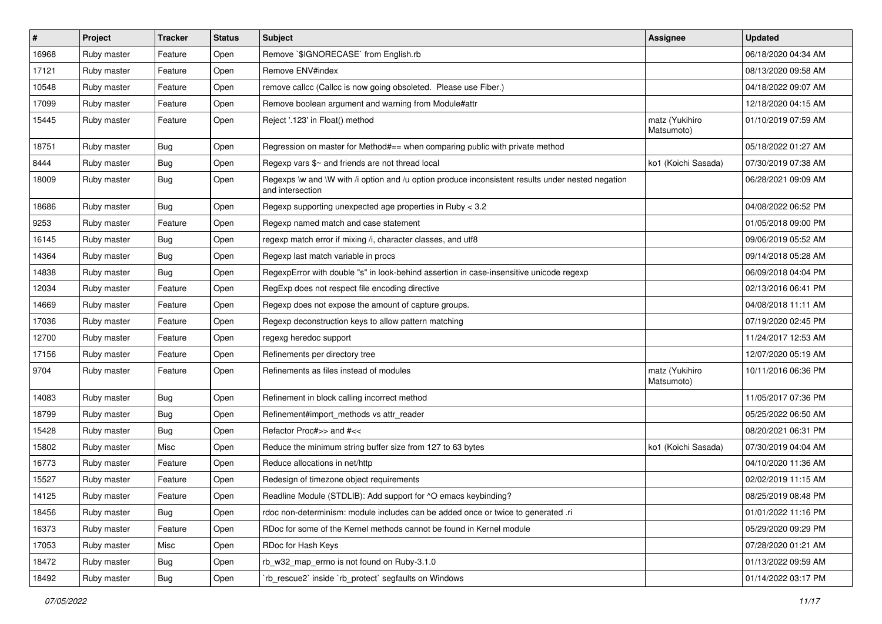| $\vert$ # | Project     | <b>Tracker</b> | <b>Status</b> | <b>Subject</b>                                                                                                        | Assignee                     | <b>Updated</b>      |
|-----------|-------------|----------------|---------------|-----------------------------------------------------------------------------------------------------------------------|------------------------------|---------------------|
| 16968     | Ruby master | Feature        | Open          | Remove `\$IGNORECASE` from English.rb                                                                                 |                              | 06/18/2020 04:34 AM |
| 17121     | Ruby master | Feature        | Open          | Remove ENV#index                                                                                                      |                              | 08/13/2020 09:58 AM |
| 10548     | Ruby master | Feature        | Open          | remove callcc (Callcc is now going obsoleted. Please use Fiber.)                                                      |                              | 04/18/2022 09:07 AM |
| 17099     | Ruby master | Feature        | Open          | Remove boolean argument and warning from Module#attr                                                                  |                              | 12/18/2020 04:15 AM |
| 15445     | Ruby master | Feature        | Open          | Reject '.123' in Float() method                                                                                       | matz (Yukihiro<br>Matsumoto) | 01/10/2019 07:59 AM |
| 18751     | Ruby master | Bug            | Open          | Regression on master for Method#== when comparing public with private method                                          |                              | 05/18/2022 01:27 AM |
| 8444      | Ruby master | <b>Bug</b>     | Open          | Regexp vars \$~ and friends are not thread local                                                                      | ko1 (Koichi Sasada)          | 07/30/2019 07:38 AM |
| 18009     | Ruby master | <b>Bug</b>     | Open          | Regexps \w and \W with /i option and /u option produce inconsistent results under nested negation<br>and intersection |                              | 06/28/2021 09:09 AM |
| 18686     | Ruby master | Bug            | Open          | Regexp supporting unexpected age properties in Ruby < 3.2                                                             |                              | 04/08/2022 06:52 PM |
| 9253      | Ruby master | Feature        | Open          | Regexp named match and case statement                                                                                 |                              | 01/05/2018 09:00 PM |
| 16145     | Ruby master | <b>Bug</b>     | Open          | regexp match error if mixing /i, character classes, and utf8                                                          |                              | 09/06/2019 05:52 AM |
| 14364     | Ruby master | <b>Bug</b>     | Open          | Regexp last match variable in procs                                                                                   |                              | 09/14/2018 05:28 AM |
| 14838     | Ruby master | <b>Bug</b>     | Open          | RegexpError with double "s" in look-behind assertion in case-insensitive unicode regexp                               |                              | 06/09/2018 04:04 PM |
| 12034     | Ruby master | Feature        | Open          | RegExp does not respect file encoding directive                                                                       |                              | 02/13/2016 06:41 PM |
| 14669     | Ruby master | Feature        | Open          | Regexp does not expose the amount of capture groups.                                                                  |                              | 04/08/2018 11:11 AM |
| 17036     | Ruby master | Feature        | Open          | Regexp deconstruction keys to allow pattern matching                                                                  |                              | 07/19/2020 02:45 PM |
| 12700     | Ruby master | Feature        | Open          | regexg heredoc support                                                                                                |                              | 11/24/2017 12:53 AM |
| 17156     | Ruby master | Feature        | Open          | Refinements per directory tree                                                                                        |                              | 12/07/2020 05:19 AM |
| 9704      | Ruby master | Feature        | Open          | Refinements as files instead of modules                                                                               | matz (Yukihiro<br>Matsumoto) | 10/11/2016 06:36 PM |
| 14083     | Ruby master | <b>Bug</b>     | Open          | Refinement in block calling incorrect method                                                                          |                              | 11/05/2017 07:36 PM |
| 18799     | Ruby master | <b>Bug</b>     | Open          | Refinement#import_methods vs attr_reader                                                                              |                              | 05/25/2022 06:50 AM |
| 15428     | Ruby master | <b>Bug</b>     | Open          | Refactor Proc#>> and #<<                                                                                              |                              | 08/20/2021 06:31 PM |
| 15802     | Ruby master | Misc           | Open          | Reduce the minimum string buffer size from 127 to 63 bytes                                                            | ko1 (Koichi Sasada)          | 07/30/2019 04:04 AM |
| 16773     | Ruby master | Feature        | Open          | Reduce allocations in net/http                                                                                        |                              | 04/10/2020 11:36 AM |
| 15527     | Ruby master | Feature        | Open          | Redesign of timezone object requirements                                                                              |                              | 02/02/2019 11:15 AM |
| 14125     | Ruby master | Feature        | Open          | Readline Module (STDLIB): Add support for ^O emacs keybinding?                                                        |                              | 08/25/2019 08:48 PM |
| 18456     | Ruby master | <b>Bug</b>     | Open          | rdoc non-determinism: module includes can be added once or twice to generated .ri                                     |                              | 01/01/2022 11:16 PM |
| 16373     | Ruby master | Feature        | Open          | RDoc for some of the Kernel methods cannot be found in Kernel module                                                  |                              | 05/29/2020 09:29 PM |
| 17053     | Ruby master | Misc           | Open          | RDoc for Hash Keys                                                                                                    |                              | 07/28/2020 01:21 AM |
| 18472     | Ruby master | <b>Bug</b>     | Open          | rb_w32_map_errno is not found on Ruby-3.1.0                                                                           |                              | 01/13/2022 09:59 AM |
| 18492     | Ruby master | Bug            | Open          | rb_rescue2` inside `rb_protect` segfaults on Windows                                                                  |                              | 01/14/2022 03:17 PM |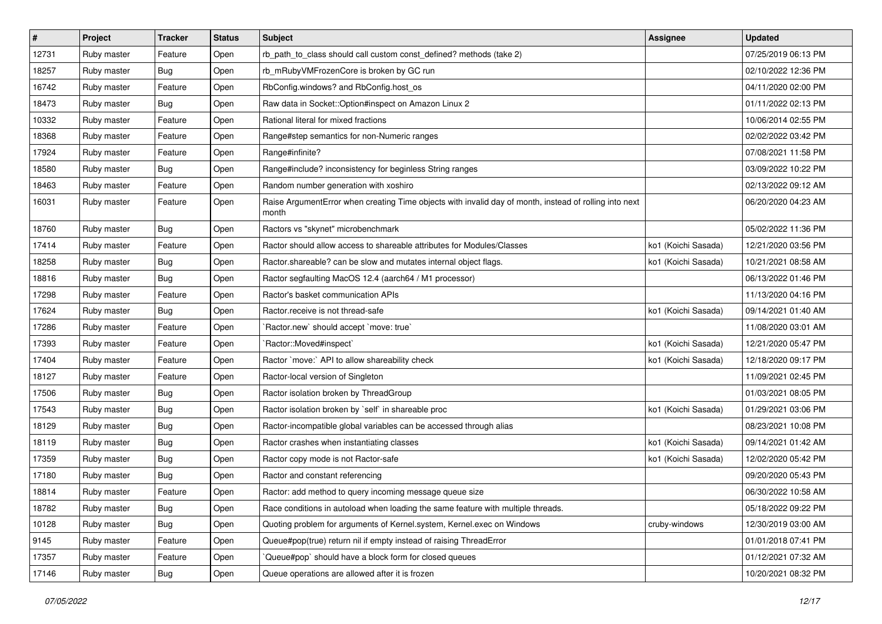| $\vert$ # | Project     | <b>Tracker</b> | <b>Status</b> | Subject                                                                                                         | <b>Assignee</b>     | <b>Updated</b>      |
|-----------|-------------|----------------|---------------|-----------------------------------------------------------------------------------------------------------------|---------------------|---------------------|
| 12731     | Ruby master | Feature        | Open          | rb_path_to_class should call custom const_defined? methods (take 2)                                             |                     | 07/25/2019 06:13 PM |
| 18257     | Ruby master | <b>Bug</b>     | Open          | rb_mRubyVMFrozenCore is broken by GC run                                                                        |                     | 02/10/2022 12:36 PM |
| 16742     | Ruby master | Feature        | Open          | RbConfig.windows? and RbConfig.host_os                                                                          |                     | 04/11/2020 02:00 PM |
| 18473     | Ruby master | <b>Bug</b>     | Open          | Raw data in Socket::Option#inspect on Amazon Linux 2                                                            |                     | 01/11/2022 02:13 PM |
| 10332     | Ruby master | Feature        | Open          | Rational literal for mixed fractions                                                                            |                     | 10/06/2014 02:55 PM |
| 18368     | Ruby master | Feature        | Open          | Range#step semantics for non-Numeric ranges                                                                     |                     | 02/02/2022 03:42 PM |
| 17924     | Ruby master | Feature        | Open          | Range#infinite?                                                                                                 |                     | 07/08/2021 11:58 PM |
| 18580     | Ruby master | <b>Bug</b>     | Open          | Range#include? inconsistency for beginless String ranges                                                        |                     | 03/09/2022 10:22 PM |
| 18463     | Ruby master | Feature        | Open          | Random number generation with xoshiro                                                                           |                     | 02/13/2022 09:12 AM |
| 16031     | Ruby master | Feature        | Open          | Raise ArgumentError when creating Time objects with invalid day of month, instead of rolling into next<br>month |                     | 06/20/2020 04:23 AM |
| 18760     | Ruby master | Bug            | Open          | Ractors vs "skynet" microbenchmark                                                                              |                     | 05/02/2022 11:36 PM |
| 17414     | Ruby master | Feature        | Open          | Ractor should allow access to shareable attributes for Modules/Classes                                          | ko1 (Koichi Sasada) | 12/21/2020 03:56 PM |
| 18258     | Ruby master | <b>Bug</b>     | Open          | Ractor.shareable? can be slow and mutates internal object flags.                                                | ko1 (Koichi Sasada) | 10/21/2021 08:58 AM |
| 18816     | Ruby master | Bug            | Open          | Ractor segfaulting MacOS 12.4 (aarch64 / M1 processor)                                                          |                     | 06/13/2022 01:46 PM |
| 17298     | Ruby master | Feature        | Open          | Ractor's basket communication APIs                                                                              |                     | 11/13/2020 04:16 PM |
| 17624     | Ruby master | Bug            | Open          | Ractor.receive is not thread-safe                                                                               | ko1 (Koichi Sasada) | 09/14/2021 01:40 AM |
| 17286     | Ruby master | Feature        | Open          | Ractor.new' should accept 'move: true'                                                                          |                     | 11/08/2020 03:01 AM |
| 17393     | Ruby master | Feature        | Open          | Ractor::Moved#inspect`                                                                                          | ko1 (Koichi Sasada) | 12/21/2020 05:47 PM |
| 17404     | Ruby master | Feature        | Open          | Ractor `move:` API to allow shareability check                                                                  | ko1 (Koichi Sasada) | 12/18/2020 09:17 PM |
| 18127     | Ruby master | Feature        | Open          | Ractor-local version of Singleton                                                                               |                     | 11/09/2021 02:45 PM |
| 17506     | Ruby master | Bug            | Open          | Ractor isolation broken by ThreadGroup                                                                          |                     | 01/03/2021 08:05 PM |
| 17543     | Ruby master | <b>Bug</b>     | Open          | Ractor isolation broken by `self` in shareable proc                                                             | ko1 (Koichi Sasada) | 01/29/2021 03:06 PM |
| 18129     | Ruby master | <b>Bug</b>     | Open          | Ractor-incompatible global variables can be accessed through alias                                              |                     | 08/23/2021 10:08 PM |
| 18119     | Ruby master | Bug            | Open          | Ractor crashes when instantiating classes                                                                       | ko1 (Koichi Sasada) | 09/14/2021 01:42 AM |
| 17359     | Ruby master | <b>Bug</b>     | Open          | Ractor copy mode is not Ractor-safe                                                                             | ko1 (Koichi Sasada) | 12/02/2020 05:42 PM |
| 17180     | Ruby master | Bug            | Open          | Ractor and constant referencing                                                                                 |                     | 09/20/2020 05:43 PM |
| 18814     | Ruby master | Feature        | Open          | Ractor: add method to query incoming message queue size                                                         |                     | 06/30/2022 10:58 AM |
| 18782     | Ruby master | <b>Bug</b>     | Open          | Race conditions in autoload when loading the same feature with multiple threads.                                |                     | 05/18/2022 09:22 PM |
| 10128     | Ruby master | <b>Bug</b>     | Open          | Quoting problem for arguments of Kernel.system, Kernel.exec on Windows                                          | cruby-windows       | 12/30/2019 03:00 AM |
| 9145      | Ruby master | Feature        | Open          | Queue#pop(true) return nil if empty instead of raising ThreadError                                              |                     | 01/01/2018 07:41 PM |
| 17357     | Ruby master | Feature        | Open          | Queue#pop` should have a block form for closed queues                                                           |                     | 01/12/2021 07:32 AM |
| 17146     | Ruby master | <b>Bug</b>     | Open          | Queue operations are allowed after it is frozen                                                                 |                     | 10/20/2021 08:32 PM |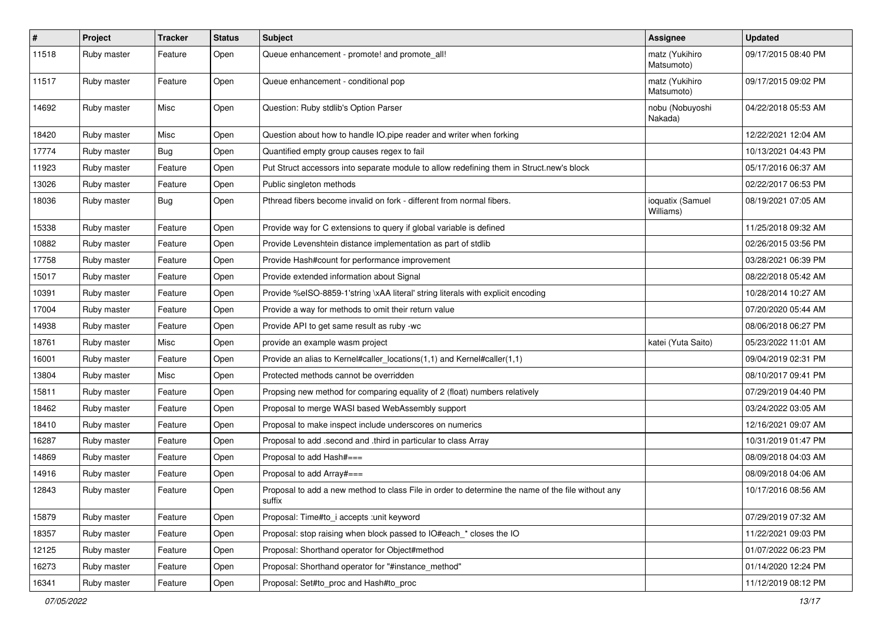| $\sharp$ | Project     | <b>Tracker</b> | <b>Status</b> | <b>Subject</b>                                                                                                     | Assignee                      | <b>Updated</b>      |
|----------|-------------|----------------|---------------|--------------------------------------------------------------------------------------------------------------------|-------------------------------|---------------------|
| 11518    | Ruby master | Feature        | Open          | Queue enhancement - promote! and promote_all!                                                                      | matz (Yukihiro<br>Matsumoto)  | 09/17/2015 08:40 PM |
| 11517    | Ruby master | Feature        | Open          | Queue enhancement - conditional pop                                                                                | matz (Yukihiro<br>Matsumoto)  | 09/17/2015 09:02 PM |
| 14692    | Ruby master | Misc           | Open          | Question: Ruby stdlib's Option Parser                                                                              | nobu (Nobuyoshi<br>Nakada)    | 04/22/2018 05:53 AM |
| 18420    | Ruby master | Misc           | Open          | Question about how to handle IO.pipe reader and writer when forking                                                |                               | 12/22/2021 12:04 AM |
| 17774    | Ruby master | Bug            | Open          | Quantified empty group causes regex to fail                                                                        |                               | 10/13/2021 04:43 PM |
| 11923    | Ruby master | Feature        | Open          | Put Struct accessors into separate module to allow redefining them in Struct.new's block                           |                               | 05/17/2016 06:37 AM |
| 13026    | Ruby master | Feature        | Open          | Public singleton methods                                                                                           |                               | 02/22/2017 06:53 PM |
| 18036    | Ruby master | Bug            | Open          | Pthread fibers become invalid on fork - different from normal fibers.                                              | ioquatix (Samuel<br>Williams) | 08/19/2021 07:05 AM |
| 15338    | Ruby master | Feature        | Open          | Provide way for C extensions to query if global variable is defined                                                |                               | 11/25/2018 09:32 AM |
| 10882    | Ruby master | Feature        | Open          | Provide Levenshtein distance implementation as part of stdlib                                                      |                               | 02/26/2015 03:56 PM |
| 17758    | Ruby master | Feature        | Open          | Provide Hash#count for performance improvement                                                                     |                               | 03/28/2021 06:39 PM |
| 15017    | Ruby master | Feature        | Open          | Provide extended information about Signal                                                                          |                               | 08/22/2018 05:42 AM |
| 10391    | Ruby master | Feature        | Open          | Provide %eISO-8859-1'string \xAA literal' string literals with explicit encoding                                   |                               | 10/28/2014 10:27 AM |
| 17004    | Ruby master | Feature        | Open          | Provide a way for methods to omit their return value                                                               |                               | 07/20/2020 05:44 AM |
| 14938    | Ruby master | Feature        | Open          | Provide API to get same result as ruby -wc                                                                         |                               | 08/06/2018 06:27 PM |
| 18761    | Ruby master | Misc           | Open          | provide an example wasm project                                                                                    | katei (Yuta Saito)            | 05/23/2022 11:01 AM |
| 16001    | Ruby master | Feature        | Open          | Provide an alias to Kernel#caller locations(1,1) and Kernel#caller(1,1)                                            |                               | 09/04/2019 02:31 PM |
| 13804    | Ruby master | Misc           | Open          | Protected methods cannot be overridden                                                                             |                               | 08/10/2017 09:41 PM |
| 15811    | Ruby master | Feature        | Open          | Propsing new method for comparing equality of 2 (float) numbers relatively                                         |                               | 07/29/2019 04:40 PM |
| 18462    | Ruby master | Feature        | Open          | Proposal to merge WASI based WebAssembly support                                                                   |                               | 03/24/2022 03:05 AM |
| 18410    | Ruby master | Feature        | Open          | Proposal to make inspect include underscores on numerics                                                           |                               | 12/16/2021 09:07 AM |
| 16287    | Ruby master | Feature        | Open          | Proposal to add .second and .third in particular to class Array                                                    |                               | 10/31/2019 01:47 PM |
| 14869    | Ruby master | Feature        | Open          | Proposal to add Hash#===                                                                                           |                               | 08/09/2018 04:03 AM |
| 14916    | Ruby master | Feature        | Open          | Proposal to add Array#===                                                                                          |                               | 08/09/2018 04:06 AM |
| 12843    | Ruby master | Feature        | Open          | Proposal to add a new method to class File in order to determine the name of the file without any<br><b>SUITIX</b> |                               | 10/17/2016 08:56 AM |
| 15879    | Ruby master | Feature        | Open          | Proposal: Time#to i accepts : unit keyword                                                                         |                               | 07/29/2019 07:32 AM |
| 18357    | Ruby master | Feature        | Open          | Proposal: stop raising when block passed to IO#each_* closes the IO                                                |                               | 11/22/2021 09:03 PM |
| 12125    | Ruby master | Feature        | Open          | Proposal: Shorthand operator for Object#method                                                                     |                               | 01/07/2022 06:23 PM |
| 16273    | Ruby master | Feature        | Open          | Proposal: Shorthand operator for "#instance_method"                                                                |                               | 01/14/2020 12:24 PM |
| 16341    | Ruby master | Feature        | Open          | Proposal: Set#to_proc and Hash#to_proc                                                                             |                               | 11/12/2019 08:12 PM |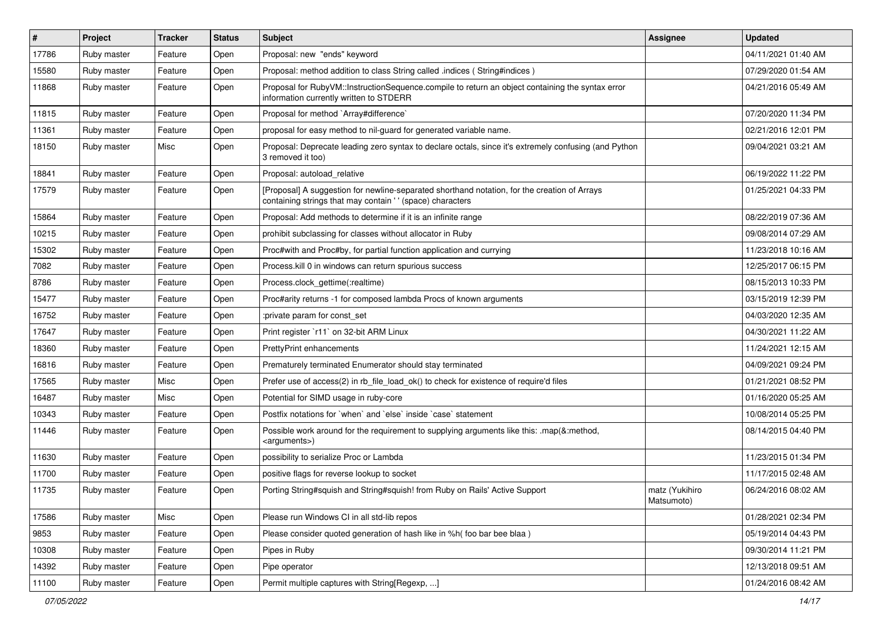| $\vert$ # | Project     | <b>Tracker</b> | <b>Status</b> | Subject                                                                                                                                                   | <b>Assignee</b>              | <b>Updated</b>      |
|-----------|-------------|----------------|---------------|-----------------------------------------------------------------------------------------------------------------------------------------------------------|------------------------------|---------------------|
| 17786     | Ruby master | Feature        | Open          | Proposal: new "ends" keyword                                                                                                                              |                              | 04/11/2021 01:40 AM |
| 15580     | Ruby master | Feature        | Open          | Proposal: method addition to class String called .indices (String#indices)                                                                                |                              | 07/29/2020 01:54 AM |
| 11868     | Ruby master | Feature        | Open          | Proposal for RubyVM::InstructionSequence.compile to return an object containing the syntax error<br>information currently written to STDERR               |                              | 04/21/2016 05:49 AM |
| 11815     | Ruby master | Feature        | Open          | Proposal for method `Array#difference`                                                                                                                    |                              | 07/20/2020 11:34 PM |
| 11361     | Ruby master | Feature        | Open          | proposal for easy method to nil-guard for generated variable name.                                                                                        |                              | 02/21/2016 12:01 PM |
| 18150     | Ruby master | Misc           | Open          | Proposal: Deprecate leading zero syntax to declare octals, since it's extremely confusing (and Python<br>3 removed it too)                                |                              | 09/04/2021 03:21 AM |
| 18841     | Ruby master | Feature        | Open          | Proposal: autoload relative                                                                                                                               |                              | 06/19/2022 11:22 PM |
| 17579     | Ruby master | Feature        | Open          | [Proposal] A suggestion for newline-separated shorthand notation, for the creation of Arrays<br>containing strings that may contain '' (space) characters |                              | 01/25/2021 04:33 PM |
| 15864     | Ruby master | Feature        | Open          | Proposal: Add methods to determine if it is an infinite range                                                                                             |                              | 08/22/2019 07:36 AM |
| 10215     | Ruby master | Feature        | Open          | prohibit subclassing for classes without allocator in Ruby                                                                                                |                              | 09/08/2014 07:29 AM |
| 15302     | Ruby master | Feature        | Open          | Proc#with and Proc#by, for partial function application and currying                                                                                      |                              | 11/23/2018 10:16 AM |
| 7082      | Ruby master | Feature        | Open          | Process. kill 0 in windows can return spurious success                                                                                                    |                              | 12/25/2017 06:15 PM |
| 8786      | Ruby master | Feature        | Open          | Process.clock gettime(:realtime)                                                                                                                          |                              | 08/15/2013 10:33 PM |
| 15477     | Ruby master | Feature        | Open          | Proc#arity returns -1 for composed lambda Procs of known arguments                                                                                        |                              | 03/15/2019 12:39 PM |
| 16752     | Ruby master | Feature        | Open          | :private param for const_set                                                                                                                              |                              | 04/03/2020 12:35 AM |
| 17647     | Ruby master | Feature        | Open          | Print register `r11` on 32-bit ARM Linux                                                                                                                  |                              | 04/30/2021 11:22 AM |
| 18360     | Ruby master | Feature        | Open          | <b>PrettyPrint enhancements</b>                                                                                                                           |                              | 11/24/2021 12:15 AM |
| 16816     | Ruby master | Feature        | Open          | Prematurely terminated Enumerator should stay terminated                                                                                                  |                              | 04/09/2021 09:24 PM |
| 17565     | Ruby master | Misc           | Open          | Prefer use of access(2) in rb_file_load_ok() to check for existence of require'd files                                                                    |                              | 01/21/2021 08:52 PM |
| 16487     | Ruby master | Misc           | Open          | Potential for SIMD usage in ruby-core                                                                                                                     |                              | 01/16/2020 05:25 AM |
| 10343     | Ruby master | Feature        | Open          | Postfix notations for 'when' and 'else' inside 'case' statement                                                                                           |                              | 10/08/2014 05:25 PM |
| 11446     | Ruby master | Feature        | Open          | Possible work around for the requirement to supplying arguments like this: .map(&:method,<br><arguments>)</arguments>                                     |                              | 08/14/2015 04:40 PM |
| 11630     | Ruby master | Feature        | Open          | possibility to serialize Proc or Lambda                                                                                                                   |                              | 11/23/2015 01:34 PM |
| 11700     | Ruby master | Feature        | Open          | positive flags for reverse lookup to socket                                                                                                               |                              | 11/17/2015 02:48 AM |
| 11735     | Ruby master | Feature        | Open          | Porting String#squish and String#squish! from Ruby on Rails' Active Support                                                                               | matz (Yukihiro<br>Matsumoto) | 06/24/2016 08:02 AM |
| 17586     | Ruby master | Misc           | Open          | Please run Windows CI in all std-lib repos                                                                                                                |                              | 01/28/2021 02:34 PM |
| 9853      | Ruby master | Feature        | Open          | Please consider quoted generation of hash like in %h( foo bar bee blaa)                                                                                   |                              | 05/19/2014 04:43 PM |
| 10308     | Ruby master | Feature        | Open          | Pipes in Ruby                                                                                                                                             |                              | 09/30/2014 11:21 PM |
| 14392     | Ruby master | Feature        | Open          | Pipe operator                                                                                                                                             |                              | 12/13/2018 09:51 AM |
| 11100     | Ruby master | Feature        | Open          | Permit multiple captures with String[Regexp, ]                                                                                                            |                              | 01/24/2016 08:42 AM |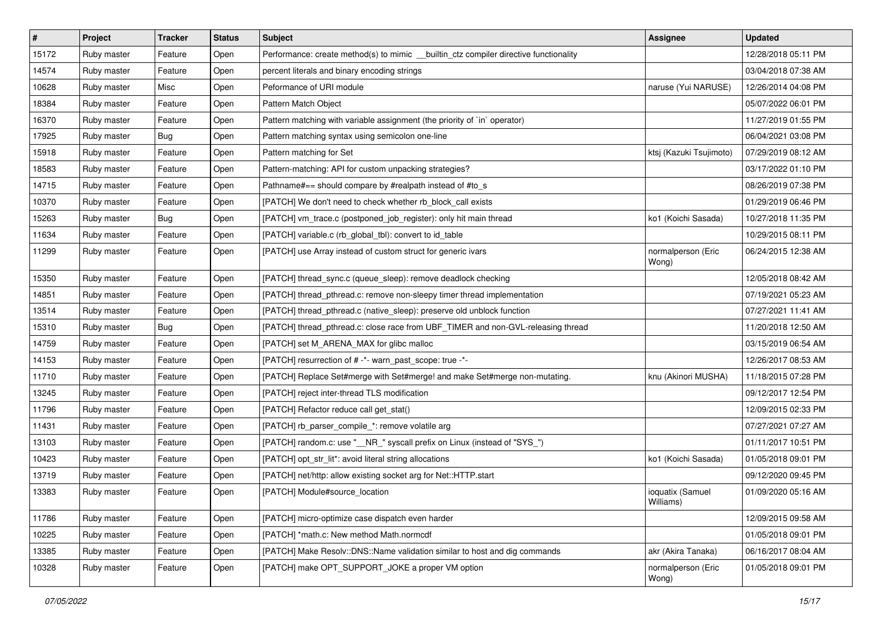| $\sharp$ | Project     | <b>Tracker</b> | <b>Status</b> | <b>Subject</b>                                                                        | <b>Assignee</b>               | <b>Updated</b>      |
|----------|-------------|----------------|---------------|---------------------------------------------------------------------------------------|-------------------------------|---------------------|
| 15172    | Ruby master | Feature        | Open          | Performance: create method(s) to mimic __builtin_ctz compiler directive functionality |                               | 12/28/2018 05:11 PM |
| 14574    | Ruby master | Feature        | Open          | percent literals and binary encoding strings                                          |                               | 03/04/2018 07:38 AM |
| 10628    | Ruby master | Misc           | Open          | Peformance of URI module                                                              | naruse (Yui NARUSE)           | 12/26/2014 04:08 PM |
| 18384    | Ruby master | Feature        | Open          | Pattern Match Object                                                                  |                               | 05/07/2022 06:01 PM |
| 16370    | Ruby master | Feature        | Open          | Pattern matching with variable assignment (the priority of `in` operator)             |                               | 11/27/2019 01:55 PM |
| 17925    | Ruby master | <b>Bug</b>     | Open          | Pattern matching syntax using semicolon one-line                                      |                               | 06/04/2021 03:08 PM |
| 15918    | Ruby master | Feature        | Open          | Pattern matching for Set                                                              | ktsj (Kazuki Tsujimoto)       | 07/29/2019 08:12 AM |
| 18583    | Ruby master | Feature        | Open          | Pattern-matching: API for custom unpacking strategies?                                |                               | 03/17/2022 01:10 PM |
| 14715    | Ruby master | Feature        | Open          | Pathname#== should compare by #realpath instead of #to_s                              |                               | 08/26/2019 07:38 PM |
| 10370    | Ruby master | Feature        | Open          | [PATCH] We don't need to check whether rb_block_call exists                           |                               | 01/29/2019 06:46 PM |
| 15263    | Ruby master | <b>Bug</b>     | Open          | [PATCH] vm_trace.c (postponed_job_register): only hit main thread                     | ko1 (Koichi Sasada)           | 10/27/2018 11:35 PM |
| 11634    | Ruby master | Feature        | Open          | [PATCH] variable.c (rb_global_tbl): convert to id_table                               |                               | 10/29/2015 08:11 PM |
| 11299    | Ruby master | Feature        | Open          | [PATCH] use Array instead of custom struct for generic ivars                          | normalperson (Eric<br>Wong)   | 06/24/2015 12:38 AM |
| 15350    | Ruby master | Feature        | Open          | [PATCH] thread_sync.c (queue_sleep): remove deadlock checking                         |                               | 12/05/2018 08:42 AM |
| 14851    | Ruby master | Feature        | Open          | [PATCH] thread pthread.c: remove non-sleepy timer thread implementation               |                               | 07/19/2021 05:23 AM |
| 13514    | Ruby master | Feature        | Open          | [PATCH] thread_pthread.c (native_sleep): preserve old unblock function                |                               | 07/27/2021 11:41 AM |
| 15310    | Ruby master | Bug            | Open          | [PATCH] thread_pthread.c: close race from UBF_TIMER and non-GVL-releasing thread      |                               | 11/20/2018 12:50 AM |
| 14759    | Ruby master | Feature        | Open          | [PATCH] set M ARENA MAX for glibc malloc                                              |                               | 03/15/2019 06:54 AM |
| 14153    | Ruby master | Feature        | Open          | [PATCH] resurrection of # -*- warn_past_scope: true -*-                               |                               | 12/26/2017 08:53 AM |
| 11710    | Ruby master | Feature        | Open          | [PATCH] Replace Set#merge with Set#merge! and make Set#merge non-mutating.            | knu (Akinori MUSHA)           | 11/18/2015 07:28 PM |
| 13245    | Ruby master | Feature        | Open          | [PATCH] reject inter-thread TLS modification                                          |                               | 09/12/2017 12:54 PM |
| 11796    | Ruby master | Feature        | Open          | [PATCH] Refactor reduce call get_stat()                                               |                               | 12/09/2015 02:33 PM |
| 11431    | Ruby master | Feature        | Open          | [PATCH] rb_parser_compile_*: remove volatile arg                                      |                               | 07/27/2021 07:27 AM |
| 13103    | Ruby master | Feature        | Open          | [PATCH] random.c: use "__NR_" syscall prefix on Linux (instead of "SYS_")             |                               | 01/11/2017 10:51 PM |
| 10423    | Ruby master | Feature        | Open          | [PATCH] opt_str_lit*: avoid literal string allocations                                | ko1 (Koichi Sasada)           | 01/05/2018 09:01 PM |
| 13719    | Ruby master | Feature        | Open          | [PATCH] net/http: allow existing socket arg for Net::HTTP.start                       |                               | 09/12/2020 09:45 PM |
| 13383    | Ruby master | Feature        | Open          | [PATCH] Module#source_location                                                        | ioquatix (Samuel<br>Williams) | 01/09/2020 05:16 AM |
| 11786    | Ruby master | Feature        | Open          | [PATCH] micro-optimize case dispatch even harder                                      |                               | 12/09/2015 09:58 AM |
| 10225    | Ruby master | Feature        | Open          | [PATCH] *math.c: New method Math.normcdf                                              |                               | 01/05/2018 09:01 PM |
| 13385    | Ruby master | Feature        | Open          | [PATCH] Make Resolv::DNS::Name validation similar to host and dig commands            | akr (Akira Tanaka)            | 06/16/2017 08:04 AM |
| 10328    | Ruby master | Feature        | Open          | [PATCH] make OPT_SUPPORT_JOKE a proper VM option                                      | normalperson (Eric<br>Wong)   | 01/05/2018 09:01 PM |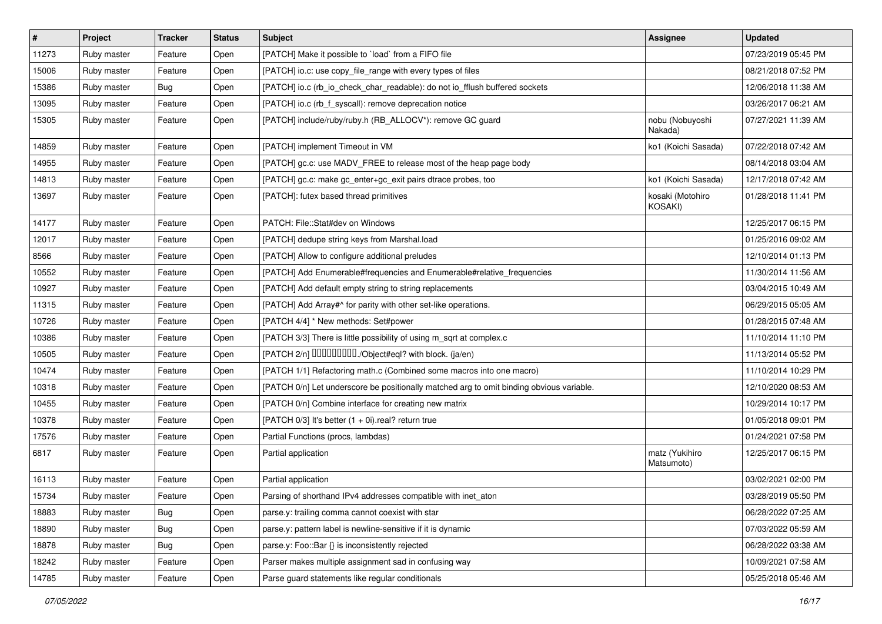| #     | Project     | <b>Tracker</b> | <b>Status</b> | <b>Subject</b>                                                                           | Assignee                     | <b>Updated</b>      |
|-------|-------------|----------------|---------------|------------------------------------------------------------------------------------------|------------------------------|---------------------|
| 11273 | Ruby master | Feature        | Open          | [PATCH] Make it possible to `load` from a FIFO file                                      |                              | 07/23/2019 05:45 PM |
| 15006 | Ruby master | Feature        | Open          | [PATCH] io.c: use copy_file_range with every types of files                              |                              | 08/21/2018 07:52 PM |
| 15386 | Ruby master | <b>Bug</b>     | Open          | [PATCH] io.c (rb_io_check_char_readable): do not io_fflush buffered sockets              |                              | 12/06/2018 11:38 AM |
| 13095 | Ruby master | Feature        | Open          | [PATCH] io.c (rb_f_syscall): remove deprecation notice                                   |                              | 03/26/2017 06:21 AM |
| 15305 | Ruby master | Feature        | Open          | [PATCH] include/ruby/ruby.h (RB_ALLOCV*): remove GC guard                                | nobu (Nobuyoshi<br>Nakada)   | 07/27/2021 11:39 AM |
| 14859 | Ruby master | Feature        | Open          | [PATCH] implement Timeout in VM                                                          | ko1 (Koichi Sasada)          | 07/22/2018 07:42 AM |
| 14955 | Ruby master | Feature        | Open          | [PATCH] gc.c: use MADV_FREE to release most of the heap page body                        |                              | 08/14/2018 03:04 AM |
| 14813 | Ruby master | Feature        | Open          | [PATCH] gc.c: make gc_enter+gc_exit pairs dtrace probes, too                             | ko1 (Koichi Sasada)          | 12/17/2018 07:42 AM |
| 13697 | Ruby master | Feature        | Open          | [PATCH]: futex based thread primitives                                                   | kosaki (Motohiro<br>KOSAKI)  | 01/28/2018 11:41 PM |
| 14177 | Ruby master | Feature        | Open          | PATCH: File::Stat#dev on Windows                                                         |                              | 12/25/2017 06:15 PM |
| 12017 | Ruby master | Feature        | Open          | [PATCH] dedupe string keys from Marshal.load                                             |                              | 01/25/2016 09:02 AM |
| 8566  | Ruby master | Feature        | Open          | [PATCH] Allow to configure additional preludes                                           |                              | 12/10/2014 01:13 PM |
| 10552 | Ruby master | Feature        | Open          | [PATCH] Add Enumerable#frequencies and Enumerable#relative_frequencies                   |                              | 11/30/2014 11:56 AM |
| 10927 | Ruby master | Feature        | Open          | [PATCH] Add default empty string to string replacements                                  |                              | 03/04/2015 10:49 AM |
| 11315 | Ruby master | Feature        | Open          | [PATCH] Add Array#^ for parity with other set-like operations.                           |                              | 06/29/2015 05:05 AM |
| 10726 | Ruby master | Feature        | Open          | [PATCH 4/4] * New methods: Set#power                                                     |                              | 01/28/2015 07:48 AM |
| 10386 | Ruby master | Feature        | Open          | [PATCH 3/3] There is little possibility of using m_sqrt at complex.c                     |                              | 11/10/2014 11:10 PM |
| 10505 | Ruby master | Feature        | Open          | [PATCH 2/n] DDDDDDDD./Object#eql? with block. (ja/en)                                    |                              | 11/13/2014 05:52 PM |
| 10474 | Ruby master | Feature        | Open          | [PATCH 1/1] Refactoring math.c (Combined some macros into one macro)                     |                              | 11/10/2014 10:29 PM |
| 10318 | Ruby master | Feature        | Open          | [PATCH 0/n] Let underscore be positionally matched arg to omit binding obvious variable. |                              | 12/10/2020 08:53 AM |
| 10455 | Ruby master | Feature        | Open          | [PATCH 0/n] Combine interface for creating new matrix                                    |                              | 10/29/2014 10:17 PM |
| 10378 | Ruby master | Feature        | Open          | [PATCH $0/3$ ] It's better $(1 + 0i)$ .real? return true                                 |                              | 01/05/2018 09:01 PM |
| 17576 | Ruby master | Feature        | Open          | Partial Functions (procs, lambdas)                                                       |                              | 01/24/2021 07:58 PM |
| 6817  | Ruby master | Feature        | Open          | Partial application                                                                      | matz (Yukihiro<br>Matsumoto) | 12/25/2017 06:15 PM |
| 16113 | Ruby master | Feature        | Open          | Partial application                                                                      |                              | 03/02/2021 02:00 PM |
| 15734 | Ruby master | Feature        | Open          | Parsing of shorthand IPv4 addresses compatible with inet_aton                            |                              | 03/28/2019 05:50 PM |
| 18883 | Ruby master | <b>Bug</b>     | Open          | parse.y: trailing comma cannot coexist with star                                         |                              | 06/28/2022 07:25 AM |
| 18890 | Ruby master | <b>Bug</b>     | Open          | parse.y: pattern label is newline-sensitive if it is dynamic                             |                              | 07/03/2022 05:59 AM |
| 18878 | Ruby master | <b>Bug</b>     | Open          | parse.y: Foo::Bar {} is inconsistently rejected                                          |                              | 06/28/2022 03:38 AM |
| 18242 | Ruby master | Feature        | Open          | Parser makes multiple assignment sad in confusing way                                    |                              | 10/09/2021 07:58 AM |
| 14785 | Ruby master | Feature        | Open          | Parse guard statements like regular conditionals                                         |                              | 05/25/2018 05:46 AM |